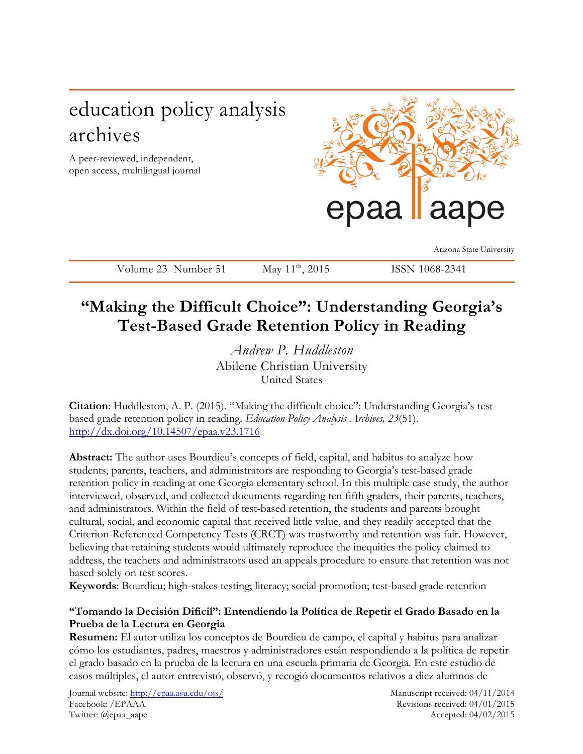# education policy analysis archives

A peer-reviewed, independent, open access, multilingual journal



Arizona State University

Volume 23 Number 51 May 11<sup>th</sup>, 2015 ISSN 1068-2341

## **"Making the Difficult Choice": Understanding Georgia's Test-Based Grade Retention Policy in Reading**

*Andrew P. Huddleston* Abilene Christian University United States

**Citation**: Huddleston, A. P. (2015). "Making the difficult choice": Understanding Georgia's testbased grade retention policy in reading. *Education Policy Analysis Archives, 23*(51). http://dx.doi.org/10.14507/epaa.v23.1716

**Abstract:** The author uses Bourdieu's concepts of field, capital, and habitus to analyze how students, parents, teachers, and administrators are responding to Georgia's test-based grade retention policy in reading at one Georgia elementary school. In this multiple case study, the author interviewed, observed, and collected documents regarding ten fifth graders, their parents, teachers, and administrators. Within the field of test-based retention, the students and parents brought cultural, social, and economic capital that received little value, and they readily accepted that the Criterion-Referenced Competency Tests (CRCT) was trustworthy and retention was fair. However, believing that retaining students would ultimately reproduce the inequities the policy claimed to address, the teachers and administrators used an appeals procedure to ensure that retention was not based solely on test scores.

**Keywords**: Bourdieu; high-stakes testing; literacy; social promotion; test-based grade retention

## **"Tomando la Decisión Difícil": Entendiendo la Política de Repetir el Grado Basado en la Prueba de la Lectura en Georgia**

**Resumen:** El autor utiliza los conceptos de Bourdieu de campo, el capital y habitus para analizar cómo los estudiantes, padres, maestros y administradores están respondiendo a la política de repetir el grado basado en la prueba de la lectura en una escuela primaria de Georgia. En este estudio de casos múltiples, el autor entrevistó, observó, y recogió documentos relativos a diez alumnos de

Journal website: http://epaa.asu.edu/ojs/ Manuscript received: 04/11/2014 Facebook: /EPAAA Revisions received: 04/01/2015 Twitter: @epaa\_aape Accepted: 04/02/2015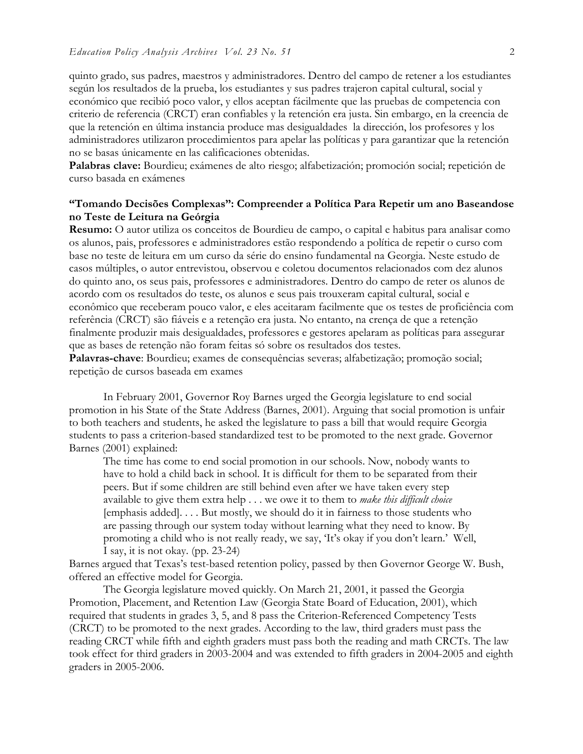quinto grado, sus padres, maestros y administradores. Dentro del campo de retener a los estudiantes según los resultados de la prueba, los estudiantes y sus padres trajeron capital cultural, social y económico que recibió poco valor, y ellos aceptan fácilmente que las pruebas de competencia con criterio de referencia (CRCT) eran confiables y la retención era justa. Sin embargo, en la creencia de que la retención en última instancia produce mas desigualdades la dirección, los profesores y los administradores utilizaron procedimientos para apelar las políticas y para garantizar que la retención no se basas únicamente en las calificaciones obtenidas.

**Palabras clave:** Bourdieu; exámenes de alto riesgo; alfabetización; promoción social; repetición de curso basada en exámenes

#### **"Tomando Decisões Complexas": Compreender a Política Para Repetir um ano Baseandose no Teste de Leitura na Geórgia**

**Resumo:** O autor utiliza os conceitos de Bourdieu de campo, o capital e habitus para analisar como os alunos, pais, professores e administradores estão respondendo a política de repetir o curso com base no teste de leitura em um curso da série do ensino fundamental na Georgia. Neste estudo de casos múltiples, o autor entrevistou, observou e coletou documentos relacionados com dez alunos do quinto ano, os seus pais, professores e administradores. Dentro do campo de reter os alunos de acordo com os resultados do teste, os alunos e seus pais trouxeram capital cultural, social e econômico que receberam pouco valor, e eles aceitaram facilmente que os testes de proficiência com referência (CRCT) são fiáveis e a retenção era justa. No entanto, na crença de que a retenção finalmente produzir mais desigualdades, professores e gestores apelaram as políticas para assegurar que as bases de retenção não foram feitas só sobre os resultados dos testes.

**Palavras-chave**: Bourdieu; exames de consequências severas; alfabetização; promoção social; repetição de cursos baseada em exames

In February 2001, Governor Roy Barnes urged the Georgia legislature to end social promotion in his State of the State Address (Barnes, 2001). Arguing that social promotion is unfair to both teachers and students, he asked the legislature to pass a bill that would require Georgia students to pass a criterion-based standardized test to be promoted to the next grade. Governor Barnes (2001) explained:

The time has come to end social promotion in our schools. Now, nobody wants to have to hold a child back in school. It is difficult for them to be separated from their peers. But if some children are still behind even after we have taken every step available to give them extra help . . . we owe it to them to *make this difficult choice* [emphasis added]. . . . But mostly, we should do it in fairness to those students who are passing through our system today without learning what they need to know. By promoting a child who is not really ready, we say, 'It's okay if you don't learn.' Well, I say, it is not okay. (pp. 23-24)

Barnes argued that Texas's test-based retention policy, passed by then Governor George W. Bush, offered an effective model for Georgia.

The Georgia legislature moved quickly. On March 21, 2001, it passed the Georgia Promotion, Placement, and Retention Law (Georgia State Board of Education, 2001), which required that students in grades 3, 5, and 8 pass the Criterion-Referenced Competency Tests (CRCT) to be promoted to the next grades. According to the law, third graders must pass the reading CRCT while fifth and eighth graders must pass both the reading and math CRCTs. The law took effect for third graders in 2003-2004 and was extended to fifth graders in 2004-2005 and eighth graders in 2005-2006.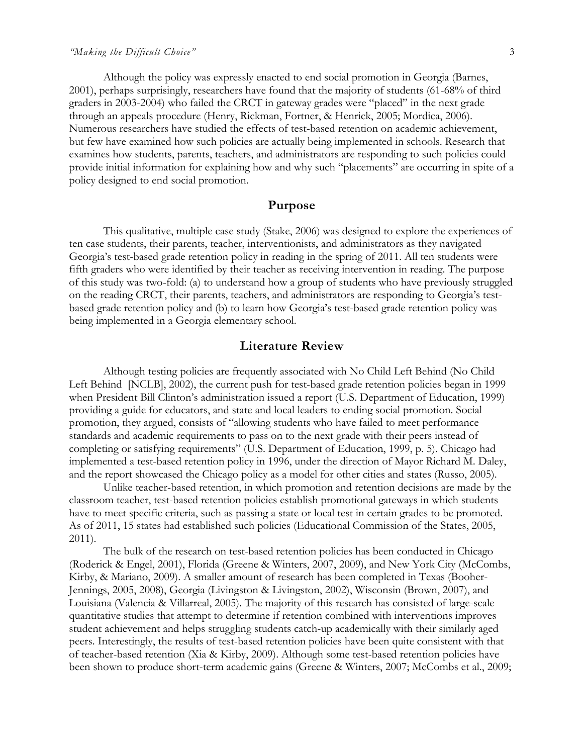Although the policy was expressly enacted to end social promotion in Georgia (Barnes, 2001), perhaps surprisingly, researchers have found that the majority of students (61-68% of third graders in 2003-2004) who failed the CRCT in gateway grades were "placed" in the next grade through an appeals procedure (Henry, Rickman, Fortner, & Henrick, 2005; Mordica, 2006). Numerous researchers have studied the effects of test-based retention on academic achievement, but few have examined how such policies are actually being implemented in schools. Research that examines how students, parents, teachers, and administrators are responding to such policies could provide initial information for explaining how and why such "placements" are occurring in spite of a policy designed to end social promotion.

#### **Purpose**

This qualitative, multiple case study (Stake, 2006) was designed to explore the experiences of ten case students, their parents, teacher, interventionists, and administrators as they navigated Georgia's test-based grade retention policy in reading in the spring of 2011. All ten students were fifth graders who were identified by their teacher as receiving intervention in reading. The purpose of this study was two-fold: (a) to understand how a group of students who have previously struggled on the reading CRCT, their parents, teachers, and administrators are responding to Georgia's testbased grade retention policy and (b) to learn how Georgia's test-based grade retention policy was being implemented in a Georgia elementary school.

#### **Literature Review**

Although testing policies are frequently associated with No Child Left Behind (No Child Left Behind [NCLB], 2002), the current push for test-based grade retention policies began in 1999 when President Bill Clinton's administration issued a report (U.S. Department of Education, 1999) providing a guide for educators, and state and local leaders to ending social promotion. Social promotion, they argued, consists of "allowing students who have failed to meet performance standards and academic requirements to pass on to the next grade with their peers instead of completing or satisfying requirements" (U.S. Department of Education, 1999, p. 5). Chicago had implemented a test-based retention policy in 1996, under the direction of Mayor Richard M. Daley, and the report showcased the Chicago policy as a model for other cities and states (Russo, 2005).

Unlike teacher-based retention, in which promotion and retention decisions are made by the classroom teacher, test-based retention policies establish promotional gateways in which students have to meet specific criteria, such as passing a state or local test in certain grades to be promoted. As of 2011, 15 states had established such policies (Educational Commission of the States, 2005, 2011).

The bulk of the research on test-based retention policies has been conducted in Chicago (Roderick & Engel, 2001), Florida (Greene & Winters, 2007, 2009), and New York City (McCombs, Kirby, & Mariano, 2009). A smaller amount of research has been completed in Texas (Booher-Jennings, 2005, 2008), Georgia (Livingston & Livingston, 2002), Wisconsin (Brown, 2007), and Louisiana (Valencia & Villarreal, 2005). The majority of this research has consisted of large-scale quantitative studies that attempt to determine if retention combined with interventions improves student achievement and helps struggling students catch-up academically with their similarly aged peers. Interestingly, the results of test-based retention policies have been quite consistent with that of teacher-based retention (Xia & Kirby, 2009). Although some test-based retention policies have been shown to produce short-term academic gains (Greene & Winters, 2007; McCombs et al., 2009;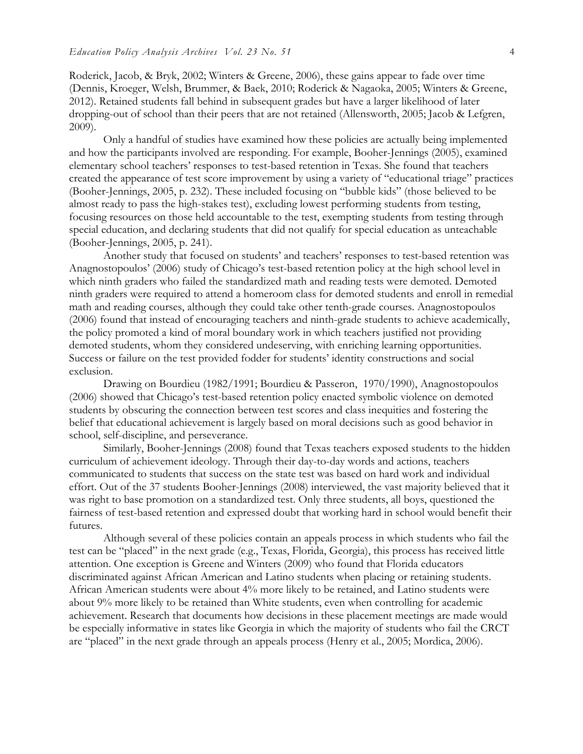Roderick, Jacob, & Bryk, 2002; Winters & Greene, 2006), these gains appear to fade over time (Dennis, Kroeger, Welsh, Brummer, & Baek, 2010; Roderick & Nagaoka, 2005; Winters & Greene, 2012). Retained students fall behind in subsequent grades but have a larger likelihood of later dropping-out of school than their peers that are not retained (Allensworth, 2005; Jacob & Lefgren, 2009).

Only a handful of studies have examined how these policies are actually being implemented and how the participants involved are responding. For example, Booher-Jennings (2005), examined elementary school teachers' responses to test-based retention in Texas. She found that teachers created the appearance of test score improvement by using a variety of "educational triage" practices (Booher-Jennings, 2005, p. 232). These included focusing on "bubble kids" (those believed to be almost ready to pass the high-stakes test), excluding lowest performing students from testing, focusing resources on those held accountable to the test, exempting students from testing through special education, and declaring students that did not qualify for special education as unteachable (Booher-Jennings, 2005, p. 241).

Another study that focused on students' and teachers' responses to test-based retention was Anagnostopoulos' (2006) study of Chicago's test-based retention policy at the high school level in which ninth graders who failed the standardized math and reading tests were demoted. Demoted ninth graders were required to attend a homeroom class for demoted students and enroll in remedial math and reading courses, although they could take other tenth-grade courses. Anagnostopoulos (2006) found that instead of encouraging teachers and ninth-grade students to achieve academically, the policy promoted a kind of moral boundary work in which teachers justified not providing demoted students, whom they considered undeserving, with enriching learning opportunities. Success or failure on the test provided fodder for students' identity constructions and social exclusion.

Drawing on Bourdieu (1982/1991; Bourdieu & Passeron, 1970/1990), Anagnostopoulos (2006) showed that Chicago's test-based retention policy enacted symbolic violence on demoted students by obscuring the connection between test scores and class inequities and fostering the belief that educational achievement is largely based on moral decisions such as good behavior in school, self-discipline, and perseverance.

Similarly, Booher-Jennings (2008) found that Texas teachers exposed students to the hidden curriculum of achievement ideology. Through their day-to-day words and actions, teachers communicated to students that success on the state test was based on hard work and individual effort. Out of the 37 students Booher-Jennings (2008) interviewed, the vast majority believed that it was right to base promotion on a standardized test. Only three students, all boys, questioned the fairness of test-based retention and expressed doubt that working hard in school would benefit their futures.

Although several of these policies contain an appeals process in which students who fail the test can be "placed" in the next grade (e.g., Texas, Florida, Georgia), this process has received little attention. One exception is Greene and Winters (2009) who found that Florida educators discriminated against African American and Latino students when placing or retaining students. African American students were about 4% more likely to be retained, and Latino students were about 9% more likely to be retained than White students, even when controlling for academic achievement. Research that documents how decisions in these placement meetings are made would be especially informative in states like Georgia in which the majority of students who fail the CRCT are "placed" in the next grade through an appeals process (Henry et al., 2005; Mordica, 2006).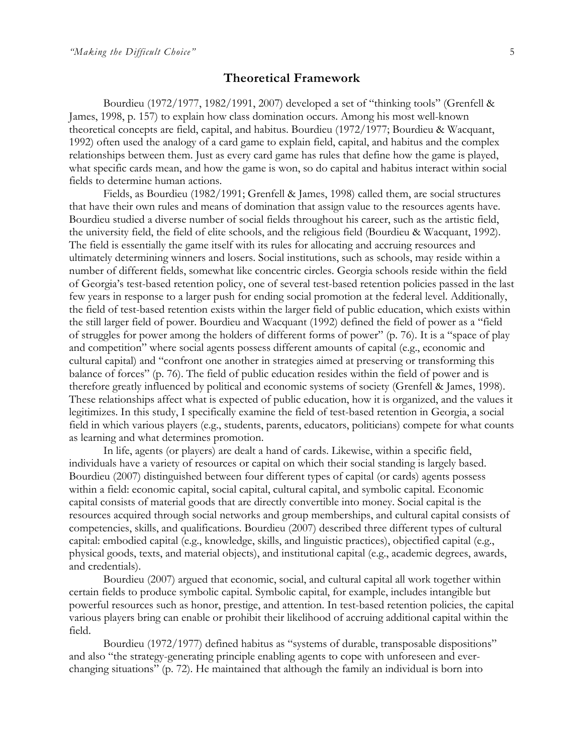#### **Theoretical Framework**

Bourdieu (1972/1977, 1982/1991, 2007) developed a set of "thinking tools" (Grenfell & James, 1998, p. 157) to explain how class domination occurs. Among his most well-known theoretical concepts are field, capital, and habitus. Bourdieu (1972/1977; Bourdieu & Wacquant, 1992) often used the analogy of a card game to explain field, capital, and habitus and the complex relationships between them. Just as every card game has rules that define how the game is played, what specific cards mean, and how the game is won, so do capital and habitus interact within social fields to determine human actions.

Fields, as Bourdieu (1982/1991; Grenfell & James, 1998) called them, are social structures that have their own rules and means of domination that assign value to the resources agents have. Bourdieu studied a diverse number of social fields throughout his career, such as the artistic field, the university field, the field of elite schools, and the religious field (Bourdieu & Wacquant, 1992). The field is essentially the game itself with its rules for allocating and accruing resources and ultimately determining winners and losers. Social institutions, such as schools, may reside within a number of different fields, somewhat like concentric circles. Georgia schools reside within the field of Georgia's test-based retention policy, one of several test-based retention policies passed in the last few years in response to a larger push for ending social promotion at the federal level. Additionally, the field of test-based retention exists within the larger field of public education, which exists within the still larger field of power. Bourdieu and Wacquant (1992) defined the field of power as a "field of struggles for power among the holders of different forms of power" (p. 76). It is a "space of play and competition" where social agents possess different amounts of capital (e.g., economic and cultural capital) and "confront one another in strategies aimed at preserving or transforming this balance of forces" (p. 76). The field of public education resides within the field of power and is therefore greatly influenced by political and economic systems of society (Grenfell & James, 1998). These relationships affect what is expected of public education, how it is organized, and the values it legitimizes. In this study, I specifically examine the field of test-based retention in Georgia, a social field in which various players (e.g., students, parents, educators, politicians) compete for what counts as learning and what determines promotion.

In life, agents (or players) are dealt a hand of cards. Likewise, within a specific field, individuals have a variety of resources or capital on which their social standing is largely based. Bourdieu (2007) distinguished between four different types of capital (or cards) agents possess within a field: economic capital, social capital, cultural capital, and symbolic capital. Economic capital consists of material goods that are directly convertible into money. Social capital is the resources acquired through social networks and group memberships, and cultural capital consists of competencies, skills, and qualifications. Bourdieu (2007) described three different types of cultural capital: embodied capital (e.g., knowledge, skills, and linguistic practices), objectified capital (e.g., physical goods, texts, and material objects), and institutional capital (e.g., academic degrees, awards, and credentials).

Bourdieu (2007) argued that economic, social, and cultural capital all work together within certain fields to produce symbolic capital. Symbolic capital, for example, includes intangible but powerful resources such as honor, prestige, and attention. In test-based retention policies, the capital various players bring can enable or prohibit their likelihood of accruing additional capital within the field.

Bourdieu (1972/1977) defined habitus as "systems of durable, transposable dispositions" and also "the strategy-generating principle enabling agents to cope with unforeseen and everchanging situations" (p. 72). He maintained that although the family an individual is born into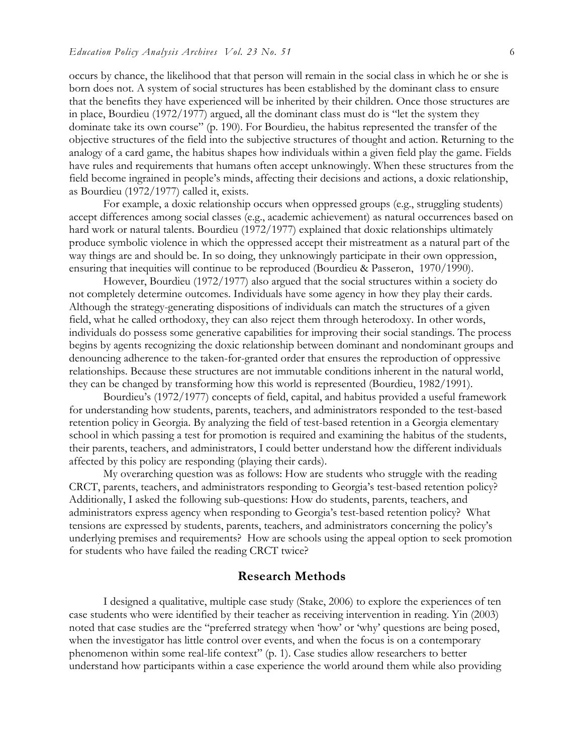occurs by chance, the likelihood that that person will remain in the social class in which he or she is born does not. A system of social structures has been established by the dominant class to ensure that the benefits they have experienced will be inherited by their children. Once those structures are in place, Bourdieu (1972/1977) argued, all the dominant class must do is "let the system they dominate take its own course" (p. 190). For Bourdieu, the habitus represented the transfer of the objective structures of the field into the subjective structures of thought and action. Returning to the analogy of a card game, the habitus shapes how individuals within a given field play the game. Fields have rules and requirements that humans often accept unknowingly. When these structures from the field become ingrained in people's minds, affecting their decisions and actions, a doxic relationship, as Bourdieu (1972/1977) called it, exists.

For example, a doxic relationship occurs when oppressed groups (e.g., struggling students) accept differences among social classes (e.g., academic achievement) as natural occurrences based on hard work or natural talents. Bourdieu (1972/1977) explained that doxic relationships ultimately produce symbolic violence in which the oppressed accept their mistreatment as a natural part of the way things are and should be. In so doing, they unknowingly participate in their own oppression, ensuring that inequities will continue to be reproduced (Bourdieu & Passeron, 1970/1990).

However, Bourdieu (1972/1977) also argued that the social structures within a society do not completely determine outcomes. Individuals have some agency in how they play their cards. Although the strategy-generating dispositions of individuals can match the structures of a given field, what he called orthodoxy, they can also reject them through heterodoxy. In other words, individuals do possess some generative capabilities for improving their social standings. The process begins by agents recognizing the doxic relationship between dominant and nondominant groups and denouncing adherence to the taken-for-granted order that ensures the reproduction of oppressive relationships. Because these structures are not immutable conditions inherent in the natural world, they can be changed by transforming how this world is represented (Bourdieu, 1982/1991).

Bourdieu's (1972/1977) concepts of field, capital, and habitus provided a useful framework for understanding how students, parents, teachers, and administrators responded to the test-based retention policy in Georgia. By analyzing the field of test-based retention in a Georgia elementary school in which passing a test for promotion is required and examining the habitus of the students, their parents, teachers, and administrators, I could better understand how the different individuals affected by this policy are responding (playing their cards).

My overarching question was as follows: How are students who struggle with the reading CRCT, parents, teachers, and administrators responding to Georgia's test-based retention policy? Additionally, I asked the following sub-questions: How do students, parents, teachers, and administrators express agency when responding to Georgia's test-based retention policy? What tensions are expressed by students, parents, teachers, and administrators concerning the policy's underlying premises and requirements? How are schools using the appeal option to seek promotion for students who have failed the reading CRCT twice?

#### **Research Methods**

I designed a qualitative, multiple case study (Stake, 2006) to explore the experiences of ten case students who were identified by their teacher as receiving intervention in reading. Yin (2003) noted that case studies are the "preferred strategy when 'how' or 'why' questions are being posed, when the investigator has little control over events, and when the focus is on a contemporary phenomenon within some real-life context" (p. 1). Case studies allow researchers to better understand how participants within a case experience the world around them while also providing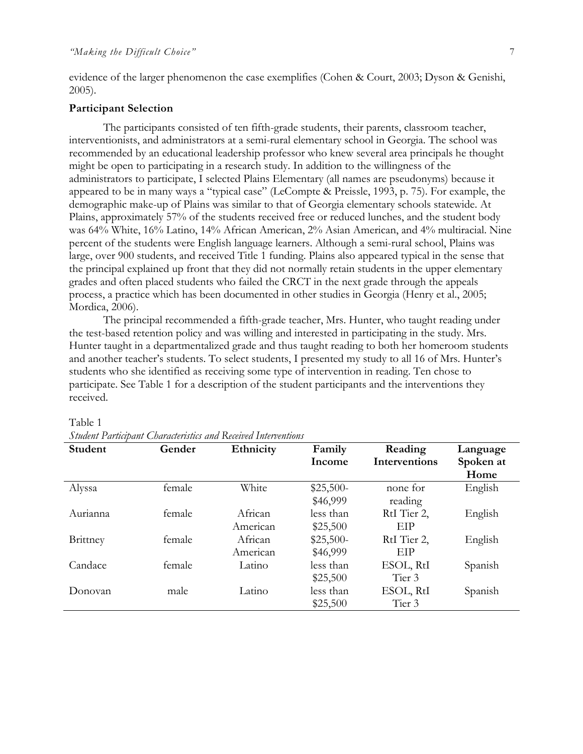evidence of the larger phenomenon the case exemplifies (Cohen & Court, 2003; Dyson & Genishi, 2005).

#### **Participant Selection**

The participants consisted of ten fifth-grade students, their parents, classroom teacher, interventionists, and administrators at a semi-rural elementary school in Georgia. The school was recommended by an educational leadership professor who knew several area principals he thought might be open to participating in a research study. In addition to the willingness of the administrators to participate, I selected Plains Elementary (all names are pseudonyms) because it appeared to be in many ways a "typical case" (LeCompte & Preissle, 1993, p. 75). For example, the demographic make-up of Plains was similar to that of Georgia elementary schools statewide. At Plains, approximately 57% of the students received free or reduced lunches, and the student body was 64% White, 16% Latino, 14% African American, 2% Asian American, and 4% multiracial. Nine percent of the students were English language learners. Although a semi-rural school, Plains was large, over 900 students, and received Title 1 funding. Plains also appeared typical in the sense that the principal explained up front that they did not normally retain students in the upper elementary grades and often placed students who failed the CRCT in the next grade through the appeals process, a practice which has been documented in other studies in Georgia (Henry et al., 2005; Mordica, 2006).

The principal recommended a fifth-grade teacher, Mrs. Hunter, who taught reading under the test-based retention policy and was willing and interested in participating in the study. Mrs. Hunter taught in a departmentalized grade and thus taught reading to both her homeroom students and another teacher's students. To select students, I presented my study to all 16 of Mrs. Hunter's students who she identified as receiving some type of intervention in reading. Ten chose to participate. See Table 1 for a description of the student participants and the interventions they received.

| Student         | Gender | Ethnicity | Family     | Reading           | Language          |
|-----------------|--------|-----------|------------|-------------------|-------------------|
|                 |        |           | Income     | Interventions     | Spoken at<br>Home |
| Alyssa          | female | White     | $$25,500-$ | none for          | English           |
|                 |        |           | \$46,999   | reading           |                   |
| Aurianna        | female | African   | less than  | RtI Tier 2,       | English           |
|                 |        | American  | \$25,500   | EIP               |                   |
| <b>Brittney</b> | female | African   | $$25,500-$ | RtI Tier 2,       | English           |
|                 |        | American  | \$46,999   | EIP               |                   |
| Candace         | female | Latino    | less than  | ESOL, RtI         | Spanish           |
|                 |        |           | \$25,500   | Tier <sub>3</sub> |                   |
| Donovan         | male   | Latino    | less than  | ESOL, RtI         | Spanish           |
|                 |        |           | \$25,500   | Tier 3            |                   |

#### Table 1

*Student Participant Characteristics and Received Interventions*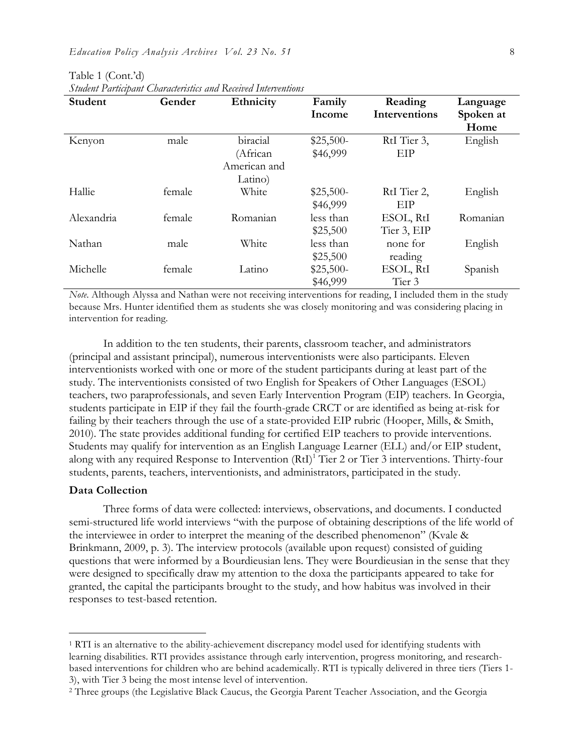| Student    | Gender | Ethnicity    | Family     | Reading              | Language  |
|------------|--------|--------------|------------|----------------------|-----------|
|            |        |              | Income     | <b>Interventions</b> | Spoken at |
|            |        |              |            |                      | Home      |
| Kenyon     | male   | biracial     | $$25,500-$ | RtI Tier 3,          | English   |
|            |        | (African     | \$46,999   | EIP                  |           |
|            |        | American and |            |                      |           |
|            |        | Latino)      |            |                      |           |
| Hallie     | female | White        | $$25,500-$ | RtI Tier 2,          | English   |
|            |        |              | \$46,999   | EІР                  |           |
| Alexandria | female | Romanian     | less than  | ESOL, RtI            | Romanian  |
|            |        |              | \$25,500   | Tier 3, EIP          |           |
| Nathan     | male   | White        | less than  | none for             | English   |
|            |        |              | \$25,500   | reading              |           |
| Michelle   | female | Latino       | $$25,500-$ | ESOL, RtI            | Spanish   |
|            |        |              | \$46,999   | Tier 3               |           |

Table 1 (Cont.'d) *Student Participant Characteristics and Received Interventions*

*Note*. Although Alyssa and Nathan were not receiving interventions for reading, I included them in the study because Mrs. Hunter identified them as students she was closely monitoring and was considering placing in intervention for reading.

In addition to the ten students, their parents, classroom teacher, and administrators (principal and assistant principal), numerous interventionists were also participants. Eleven interventionists worked with one or more of the student participants during at least part of the study. The interventionists consisted of two English for Speakers of Other Languages (ESOL) teachers, two paraprofessionals, and seven Early Intervention Program (EIP) teachers. In Georgia, students participate in EIP if they fail the fourth-grade CRCT or are identified as being at-risk for failing by their teachers through the use of a state-provided EIP rubric (Hooper, Mills, & Smith, 2010). The state provides additional funding for certified EIP teachers to provide interventions. Students may qualify for intervention as an English Language Learner (ELL) and/or EIP student, along with any required Response to Intervention (RtI)<sup>1</sup> Tier 2 or Tier 3 interventions. Thirty-four students, parents, teachers, interventionists, and administrators, participated in the study.

#### **Data Collection**

Three forms of data were collected: interviews, observations, and documents. I conducted semi-structured life world interviews "with the purpose of obtaining descriptions of the life world of the interviewee in order to interpret the meaning of the described phenomenon" (Kvale & Brinkmann, 2009, p. 3). The interview protocols (available upon request) consisted of guiding questions that were informed by a Bourdieusian lens. They were Bourdieusian in the sense that they were designed to specifically draw my attention to the doxa the participants appeared to take for granted, the capital the participants brought to the study, and how habitus was involved in their responses to test-based retention.

<sup>&</sup>lt;sup>1</sup> RTI is an alternative to the ability-achievement discrepancy model used for identifying students with learning disabilities. RTI provides assistance through early intervention, progress monitoring, and researchbased interventions for children who are behind academically. RTI is typically delivered in three tiers (Tiers 1- 3), with Tier 3 being the most intense level of intervention.

<sup>2</sup> Three groups (the Legislative Black Caucus, the Georgia Parent Teacher Association, and the Georgia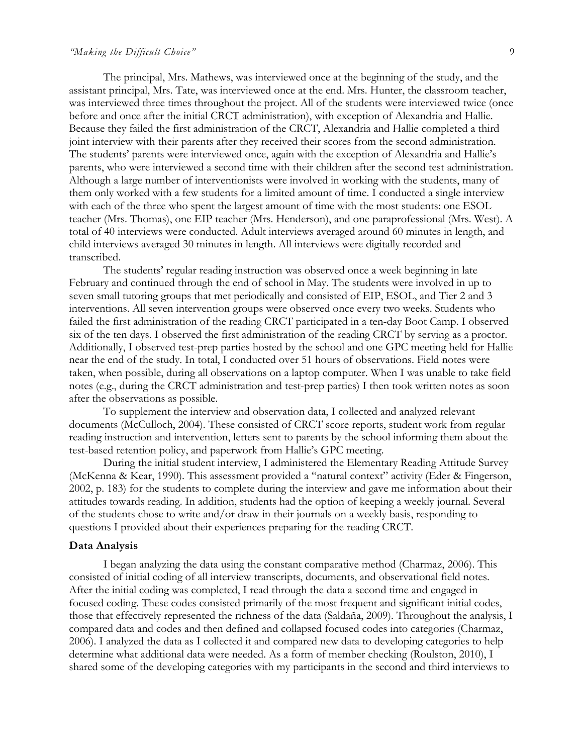#### *"Making the Difficult Choice"* 9

The principal, Mrs. Mathews, was interviewed once at the beginning of the study, and the assistant principal, Mrs. Tate, was interviewed once at the end. Mrs. Hunter, the classroom teacher, was interviewed three times throughout the project. All of the students were interviewed twice (once before and once after the initial CRCT administration), with exception of Alexandria and Hallie. Because they failed the first administration of the CRCT, Alexandria and Hallie completed a third joint interview with their parents after they received their scores from the second administration. The students' parents were interviewed once, again with the exception of Alexandria and Hallie's parents, who were interviewed a second time with their children after the second test administration. Although a large number of interventionists were involved in working with the students, many of them only worked with a few students for a limited amount of time. I conducted a single interview with each of the three who spent the largest amount of time with the most students: one ESOL teacher (Mrs. Thomas), one EIP teacher (Mrs. Henderson), and one paraprofessional (Mrs. West). A total of 40 interviews were conducted. Adult interviews averaged around 60 minutes in length, and child interviews averaged 30 minutes in length. All interviews were digitally recorded and transcribed.

The students' regular reading instruction was observed once a week beginning in late February and continued through the end of school in May. The students were involved in up to seven small tutoring groups that met periodically and consisted of EIP, ESOL, and Tier 2 and 3 interventions. All seven intervention groups were observed once every two weeks. Students who failed the first administration of the reading CRCT participated in a ten-day Boot Camp. I observed six of the ten days. I observed the first administration of the reading CRCT by serving as a proctor. Additionally, I observed test-prep parties hosted by the school and one GPC meeting held for Hallie near the end of the study. In total, I conducted over 51 hours of observations. Field notes were taken, when possible, during all observations on a laptop computer. When I was unable to take field notes (e.g., during the CRCT administration and test-prep parties) I then took written notes as soon after the observations as possible.

To supplement the interview and observation data, I collected and analyzed relevant documents (McCulloch, 2004). These consisted of CRCT score reports, student work from regular reading instruction and intervention, letters sent to parents by the school informing them about the test-based retention policy, and paperwork from Hallie's GPC meeting.

During the initial student interview, I administered the Elementary Reading Attitude Survey (McKenna & Kear, 1990). This assessment provided a "natural context" activity (Eder & Fingerson, 2002, p. 183) for the students to complete during the interview and gave me information about their attitudes towards reading. In addition, students had the option of keeping a weekly journal. Several of the students chose to write and/or draw in their journals on a weekly basis, responding to questions I provided about their experiences preparing for the reading CRCT.

#### **Data Analysis**

I began analyzing the data using the constant comparative method (Charmaz, 2006). This consisted of initial coding of all interview transcripts, documents, and observational field notes. After the initial coding was completed, I read through the data a second time and engaged in focused coding. These codes consisted primarily of the most frequent and significant initial codes, those that effectively represented the richness of the data (Saldaña, 2009). Throughout the analysis, I compared data and codes and then defined and collapsed focused codes into categories (Charmaz, 2006). I analyzed the data as I collected it and compared new data to developing categories to help determine what additional data were needed. As a form of member checking (Roulston, 2010), I shared some of the developing categories with my participants in the second and third interviews to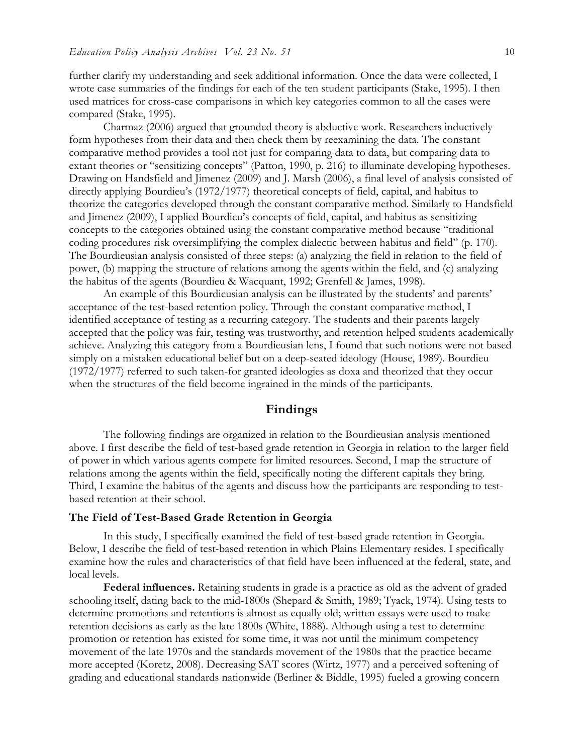further clarify my understanding and seek additional information. Once the data were collected, I wrote case summaries of the findings for each of the ten student participants (Stake, 1995). I then used matrices for cross-case comparisons in which key categories common to all the cases were compared (Stake, 1995).

Charmaz (2006) argued that grounded theory is abductive work. Researchers inductively form hypotheses from their data and then check them by reexamining the data. The constant comparative method provides a tool not just for comparing data to data, but comparing data to extant theories or "sensitizing concepts" (Patton, 1990, p. 216) to illuminate developing hypotheses. Drawing on Handsfield and Jimenez (2009) and J. Marsh (2006), a final level of analysis consisted of directly applying Bourdieu's (1972/1977) theoretical concepts of field, capital, and habitus to theorize the categories developed through the constant comparative method. Similarly to Handsfield and Jimenez (2009), I applied Bourdieu's concepts of field, capital, and habitus as sensitizing concepts to the categories obtained using the constant comparative method because "traditional coding procedures risk oversimplifying the complex dialectic between habitus and field" (p. 170). The Bourdieusian analysis consisted of three steps: (a) analyzing the field in relation to the field of power, (b) mapping the structure of relations among the agents within the field, and (c) analyzing the habitus of the agents (Bourdieu & Wacquant, 1992; Grenfell & James, 1998).

An example of this Bourdieusian analysis can be illustrated by the students' and parents' acceptance of the test-based retention policy. Through the constant comparative method, I identified acceptance of testing as a recurring category. The students and their parents largely accepted that the policy was fair, testing was trustworthy, and retention helped students academically achieve. Analyzing this category from a Bourdieusian lens, I found that such notions were not based simply on a mistaken educational belief but on a deep-seated ideology (House, 1989). Bourdieu (1972/1977) referred to such taken-for granted ideologies as doxa and theorized that they occur when the structures of the field become ingrained in the minds of the participants.

### **Findings**

The following findings are organized in relation to the Bourdieusian analysis mentioned above. I first describe the field of test-based grade retention in Georgia in relation to the larger field of power in which various agents compete for limited resources. Second, I map the structure of relations among the agents within the field, specifically noting the different capitals they bring. Third, I examine the habitus of the agents and discuss how the participants are responding to testbased retention at their school.

#### **The Field of Test-Based Grade Retention in Georgia**

In this study, I specifically examined the field of test-based grade retention in Georgia. Below, I describe the field of test-based retention in which Plains Elementary resides. I specifically examine how the rules and characteristics of that field have been influenced at the federal, state, and local levels.

**Federal influences.** Retaining students in grade is a practice as old as the advent of graded schooling itself, dating back to the mid-1800s (Shepard & Smith, 1989; Tyack, 1974). Using tests to determine promotions and retentions is almost as equally old; written essays were used to make retention decisions as early as the late 1800s (White, 1888). Although using a test to determine promotion or retention has existed for some time, it was not until the minimum competency movement of the late 1970s and the standards movement of the 1980s that the practice became more accepted (Koretz, 2008). Decreasing SAT scores (Wirtz, 1977) and a perceived softening of grading and educational standards nationwide (Berliner & Biddle, 1995) fueled a growing concern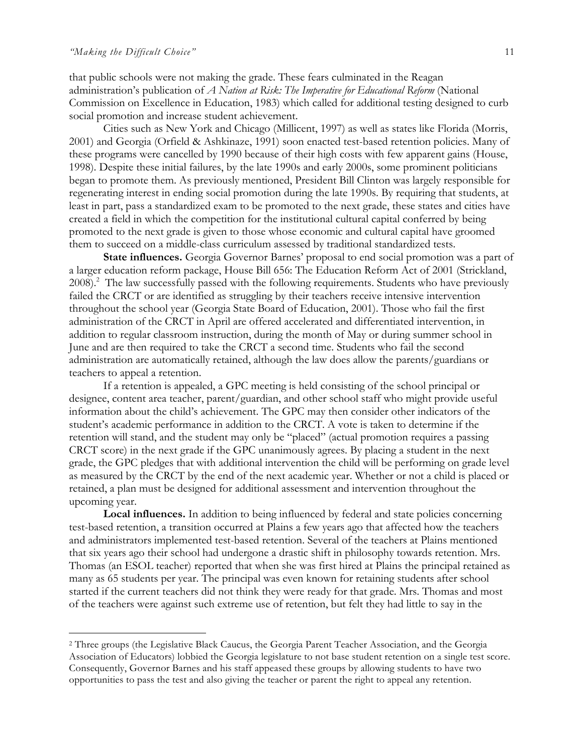that public schools were not making the grade. These fears culminated in the Reagan administration's publication of *A Nation at Risk: The Imperative for Educational Reform* (National Commission on Excellence in Education, 1983) which called for additional testing designed to curb social promotion and increase student achievement.

Cities such as New York and Chicago (Millicent, 1997) as well as states like Florida (Morris, 2001) and Georgia (Orfield & Ashkinaze, 1991) soon enacted test-based retention policies. Many of these programs were cancelled by 1990 because of their high costs with few apparent gains (House, 1998). Despite these initial failures, by the late 1990s and early 2000s, some prominent politicians began to promote them. As previously mentioned, President Bill Clinton was largely responsible for regenerating interest in ending social promotion during the late 1990s. By requiring that students, at least in part, pass a standardized exam to be promoted to the next grade, these states and cities have created a field in which the competition for the institutional cultural capital conferred by being promoted to the next grade is given to those whose economic and cultural capital have groomed them to succeed on a middle-class curriculum assessed by traditional standardized tests.

**State influences.** Georgia Governor Barnes' proposal to end social promotion was a part of a larger education reform package, House Bill 656: The Education Reform Act of 2001 (Strickland, 2008).<sup>2</sup> The law successfully passed with the following requirements. Students who have previously failed the CRCT or are identified as struggling by their teachers receive intensive intervention throughout the school year (Georgia State Board of Education, 2001). Those who fail the first administration of the CRCT in April are offered accelerated and differentiated intervention, in addition to regular classroom instruction, during the month of May or during summer school in June and are then required to take the CRCT a second time. Students who fail the second administration are automatically retained, although the law does allow the parents/guardians or teachers to appeal a retention.

If a retention is appealed, a GPC meeting is held consisting of the school principal or designee, content area teacher, parent/guardian, and other school staff who might provide useful information about the child's achievement. The GPC may then consider other indicators of the student's academic performance in addition to the CRCT. A vote is taken to determine if the retention will stand, and the student may only be "placed" (actual promotion requires a passing CRCT score) in the next grade if the GPC unanimously agrees. By placing a student in the next grade, the GPC pledges that with additional intervention the child will be performing on grade level as measured by the CRCT by the end of the next academic year. Whether or not a child is placed or retained, a plan must be designed for additional assessment and intervention throughout the upcoming year.

**Local influences.** In addition to being influenced by federal and state policies concerning test-based retention, a transition occurred at Plains a few years ago that affected how the teachers and administrators implemented test-based retention. Several of the teachers at Plains mentioned that six years ago their school had undergone a drastic shift in philosophy towards retention. Mrs. Thomas (an ESOL teacher) reported that when she was first hired at Plains the principal retained as many as 65 students per year. The principal was even known for retaining students after school started if the current teachers did not think they were ready for that grade. Mrs. Thomas and most of the teachers were against such extreme use of retention, but felt they had little to say in the

 <sup>2</sup> Three groups (the Legislative Black Caucus, the Georgia Parent Teacher Association, and the Georgia Association of Educators) lobbied the Georgia legislature to not base student retention on a single test score. Consequently, Governor Barnes and his staff appeased these groups by allowing students to have two opportunities to pass the test and also giving the teacher or parent the right to appeal any retention.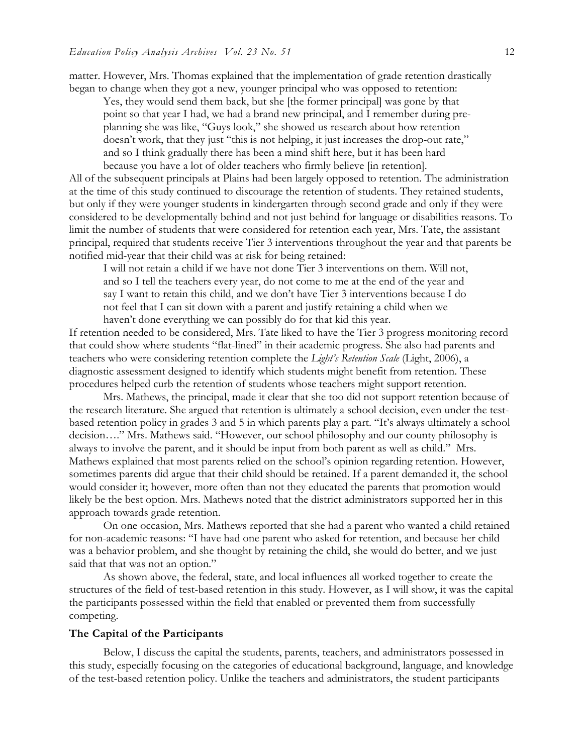matter. However, Mrs. Thomas explained that the implementation of grade retention drastically began to change when they got a new, younger principal who was opposed to retention:

Yes, they would send them back, but she [the former principal] was gone by that point so that year I had, we had a brand new principal, and I remember during preplanning she was like, "Guys look," she showed us research about how retention doesn't work, that they just "this is not helping, it just increases the drop-out rate," and so I think gradually there has been a mind shift here, but it has been hard because you have a lot of older teachers who firmly believe [in retention].

All of the subsequent principals at Plains had been largely opposed to retention. The administration at the time of this study continued to discourage the retention of students. They retained students, but only if they were younger students in kindergarten through second grade and only if they were considered to be developmentally behind and not just behind for language or disabilities reasons. To limit the number of students that were considered for retention each year, Mrs. Tate, the assistant principal, required that students receive Tier 3 interventions throughout the year and that parents be notified mid-year that their child was at risk for being retained:

I will not retain a child if we have not done Tier 3 interventions on them. Will not, and so I tell the teachers every year, do not come to me at the end of the year and say I want to retain this child, and we don't have Tier 3 interventions because I do not feel that I can sit down with a parent and justify retaining a child when we haven't done everything we can possibly do for that kid this year.

If retention needed to be considered, Mrs. Tate liked to have the Tier 3 progress monitoring record that could show where students "flat-lined" in their academic progress. She also had parents and teachers who were considering retention complete the *Light's Retention Scale* (Light, 2006), a diagnostic assessment designed to identify which students might benefit from retention. These procedures helped curb the retention of students whose teachers might support retention.

Mrs. Mathews, the principal, made it clear that she too did not support retention because of the research literature. She argued that retention is ultimately a school decision, even under the testbased retention policy in grades 3 and 5 in which parents play a part. "It's always ultimately a school decision…." Mrs. Mathews said. "However, our school philosophy and our county philosophy is always to involve the parent, and it should be input from both parent as well as child." Mrs. Mathews explained that most parents relied on the school's opinion regarding retention. However, sometimes parents did argue that their child should be retained. If a parent demanded it, the school would consider it; however, more often than not they educated the parents that promotion would likely be the best option. Mrs. Mathews noted that the district administrators supported her in this approach towards grade retention.

On one occasion, Mrs. Mathews reported that she had a parent who wanted a child retained for non-academic reasons: "I have had one parent who asked for retention, and because her child was a behavior problem, and she thought by retaining the child, she would do better, and we just said that that was not an option."

As shown above, the federal, state, and local influences all worked together to create the structures of the field of test-based retention in this study. However, as I will show, it was the capital the participants possessed within the field that enabled or prevented them from successfully competing.

#### **The Capital of the Participants**

Below, I discuss the capital the students, parents, teachers, and administrators possessed in this study, especially focusing on the categories of educational background, language, and knowledge of the test-based retention policy. Unlike the teachers and administrators, the student participants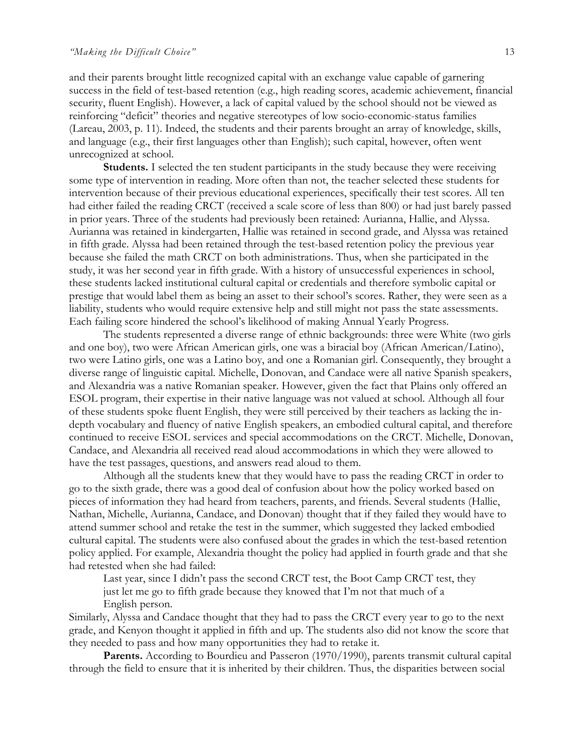and their parents brought little recognized capital with an exchange value capable of garnering success in the field of test-based retention (e.g., high reading scores, academic achievement, financial security, fluent English). However, a lack of capital valued by the school should not be viewed as reinforcing "deficit" theories and negative stereotypes of low socio-economic-status families (Lareau, 2003, p. 11). Indeed, the students and their parents brought an array of knowledge, skills, and language (e.g., their first languages other than English); such capital, however, often went unrecognized at school.

**Students.** I selected the ten student participants in the study because they were receiving some type of intervention in reading. More often than not, the teacher selected these students for intervention because of their previous educational experiences, specifically their test scores. All ten had either failed the reading CRCT (received a scale score of less than 800) or had just barely passed in prior years. Three of the students had previously been retained: Aurianna, Hallie, and Alyssa. Aurianna was retained in kindergarten, Hallie was retained in second grade, and Alyssa was retained in fifth grade. Alyssa had been retained through the test-based retention policy the previous year because she failed the math CRCT on both administrations. Thus, when she participated in the study, it was her second year in fifth grade. With a history of unsuccessful experiences in school, these students lacked institutional cultural capital or credentials and therefore symbolic capital or prestige that would label them as being an asset to their school's scores. Rather, they were seen as a liability, students who would require extensive help and still might not pass the state assessments. Each failing score hindered the school's likelihood of making Annual Yearly Progress.

The students represented a diverse range of ethnic backgrounds: three were White (two girls and one boy), two were African American girls, one was a biracial boy (African American/Latino), two were Latino girls, one was a Latino boy, and one a Romanian girl. Consequently, they brought a diverse range of linguistic capital. Michelle, Donovan, and Candace were all native Spanish speakers, and Alexandria was a native Romanian speaker. However, given the fact that Plains only offered an ESOL program, their expertise in their native language was not valued at school. Although all four of these students spoke fluent English, they were still perceived by their teachers as lacking the indepth vocabulary and fluency of native English speakers, an embodied cultural capital, and therefore continued to receive ESOL services and special accommodations on the CRCT. Michelle, Donovan, Candace, and Alexandria all received read aloud accommodations in which they were allowed to have the test passages, questions, and answers read aloud to them.

Although all the students knew that they would have to pass the reading CRCT in order to go to the sixth grade, there was a good deal of confusion about how the policy worked based on pieces of information they had heard from teachers, parents, and friends. Several students (Hallie, Nathan, Michelle, Aurianna, Candace, and Donovan) thought that if they failed they would have to attend summer school and retake the test in the summer, which suggested they lacked embodied cultural capital. The students were also confused about the grades in which the test-based retention policy applied. For example, Alexandria thought the policy had applied in fourth grade and that she had retested when she had failed:

Last year, since I didn't pass the second CRCT test, the Boot Camp CRCT test, they just let me go to fifth grade because they knowed that I'm not that much of a English person.

Similarly, Alyssa and Candace thought that they had to pass the CRCT every year to go to the next grade, and Kenyon thought it applied in fifth and up. The students also did not know the score that they needed to pass and how many opportunities they had to retake it.

**Parents.** According to Bourdieu and Passeron (1970/1990), parents transmit cultural capital through the field to ensure that it is inherited by their children. Thus, the disparities between social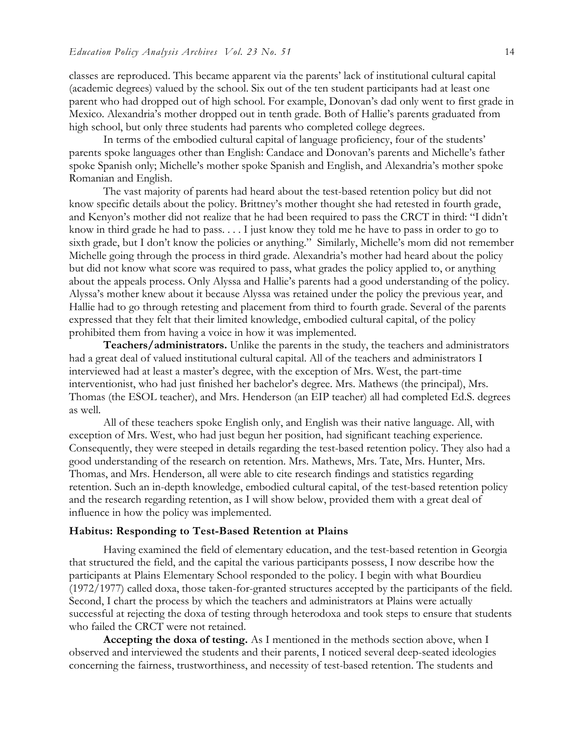classes are reproduced. This became apparent via the parents' lack of institutional cultural capital (academic degrees) valued by the school. Six out of the ten student participants had at least one parent who had dropped out of high school. For example, Donovan's dad only went to first grade in Mexico. Alexandria's mother dropped out in tenth grade. Both of Hallie's parents graduated from high school, but only three students had parents who completed college degrees.

In terms of the embodied cultural capital of language proficiency, four of the students' parents spoke languages other than English: Candace and Donovan's parents and Michelle's father spoke Spanish only; Michelle's mother spoke Spanish and English, and Alexandria's mother spoke Romanian and English.

The vast majority of parents had heard about the test-based retention policy but did not know specific details about the policy. Brittney's mother thought she had retested in fourth grade, and Kenyon's mother did not realize that he had been required to pass the CRCT in third: "I didn't know in third grade he had to pass. . . . I just know they told me he have to pass in order to go to sixth grade, but I don't know the policies or anything." Similarly, Michelle's mom did not remember Michelle going through the process in third grade. Alexandria's mother had heard about the policy but did not know what score was required to pass, what grades the policy applied to, or anything about the appeals process. Only Alyssa and Hallie's parents had a good understanding of the policy. Alyssa's mother knew about it because Alyssa was retained under the policy the previous year, and Hallie had to go through retesting and placement from third to fourth grade. Several of the parents expressed that they felt that their limited knowledge, embodied cultural capital, of the policy prohibited them from having a voice in how it was implemented.

**Teachers/administrators.** Unlike the parents in the study, the teachers and administrators had a great deal of valued institutional cultural capital. All of the teachers and administrators I interviewed had at least a master's degree, with the exception of Mrs. West, the part-time interventionist, who had just finished her bachelor's degree. Mrs. Mathews (the principal), Mrs. Thomas (the ESOL teacher), and Mrs. Henderson (an EIP teacher) all had completed Ed.S. degrees as well.

All of these teachers spoke English only, and English was their native language. All, with exception of Mrs. West, who had just begun her position, had significant teaching experience. Consequently, they were steeped in details regarding the test-based retention policy. They also had a good understanding of the research on retention. Mrs. Mathews, Mrs. Tate, Mrs. Hunter, Mrs. Thomas, and Mrs. Henderson, all were able to cite research findings and statistics regarding retention. Such an in-depth knowledge, embodied cultural capital, of the test-based retention policy and the research regarding retention, as I will show below, provided them with a great deal of influence in how the policy was implemented.

#### **Habitus: Responding to Test-Based Retention at Plains**

Having examined the field of elementary education, and the test-based retention in Georgia that structured the field, and the capital the various participants possess, I now describe how the participants at Plains Elementary School responded to the policy. I begin with what Bourdieu (1972/1977) called doxa, those taken-for-granted structures accepted by the participants of the field. Second, I chart the process by which the teachers and administrators at Plains were actually successful at rejecting the doxa of testing through heterodoxa and took steps to ensure that students who failed the CRCT were not retained.

**Accepting the doxa of testing.** As I mentioned in the methods section above, when I observed and interviewed the students and their parents, I noticed several deep-seated ideologies concerning the fairness, trustworthiness, and necessity of test-based retention. The students and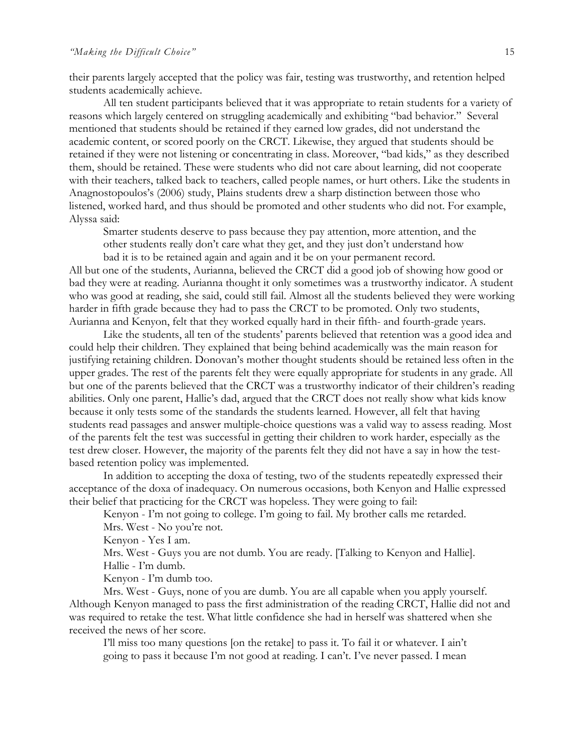their parents largely accepted that the policy was fair, testing was trustworthy, and retention helped students academically achieve.

All ten student participants believed that it was appropriate to retain students for a variety of reasons which largely centered on struggling academically and exhibiting "bad behavior." Several mentioned that students should be retained if they earned low grades, did not understand the academic content, or scored poorly on the CRCT. Likewise, they argued that students should be retained if they were not listening or concentrating in class. Moreover, "bad kids," as they described them, should be retained. These were students who did not care about learning, did not cooperate with their teachers, talked back to teachers, called people names, or hurt others. Like the students in Anagnostopoulos's (2006) study, Plains students drew a sharp distinction between those who listened, worked hard, and thus should be promoted and other students who did not. For example, Alyssa said:

Smarter students deserve to pass because they pay attention, more attention, and the other students really don't care what they get, and they just don't understand how bad it is to be retained again and again and it be on your permanent record.

All but one of the students, Aurianna, believed the CRCT did a good job of showing how good or bad they were at reading. Aurianna thought it only sometimes was a trustworthy indicator. A student who was good at reading, she said, could still fail. Almost all the students believed they were working harder in fifth grade because they had to pass the CRCT to be promoted. Only two students, Aurianna and Kenyon, felt that they worked equally hard in their fifth- and fourth-grade years.

Like the students, all ten of the students' parents believed that retention was a good idea and could help their children. They explained that being behind academically was the main reason for justifying retaining children. Donovan's mother thought students should be retained less often in the upper grades. The rest of the parents felt they were equally appropriate for students in any grade. All but one of the parents believed that the CRCT was a trustworthy indicator of their children's reading abilities. Only one parent, Hallie's dad, argued that the CRCT does not really show what kids know because it only tests some of the standards the students learned. However, all felt that having students read passages and answer multiple-choice questions was a valid way to assess reading. Most of the parents felt the test was successful in getting their children to work harder, especially as the test drew closer. However, the majority of the parents felt they did not have a say in how the testbased retention policy was implemented.

In addition to accepting the doxa of testing, two of the students repeatedly expressed their acceptance of the doxa of inadequacy. On numerous occasions, both Kenyon and Hallie expressed their belief that practicing for the CRCT was hopeless. They were going to fail:

Kenyon - I'm not going to college. I'm going to fail. My brother calls me retarded. Mrs. West - No you're not.

Kenyon - Yes I am.

Mrs. West - Guys you are not dumb. You are ready. [Talking to Kenyon and Hallie]. Hallie - I'm dumb.

Kenyon - I'm dumb too.

Mrs. West - Guys, none of you are dumb. You are all capable when you apply yourself. Although Kenyon managed to pass the first administration of the reading CRCT, Hallie did not and was required to retake the test. What little confidence she had in herself was shattered when she received the news of her score.

I'll miss too many questions [on the retake] to pass it. To fail it or whatever. I ain't going to pass it because I'm not good at reading. I can't. I've never passed. I mean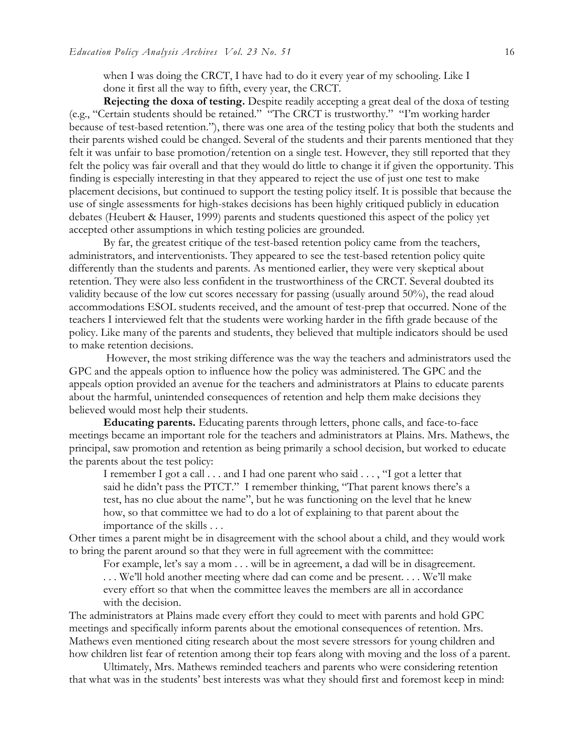when I was doing the CRCT, I have had to do it every year of my schooling. Like I done it first all the way to fifth, every year, the CRCT.

**Rejecting the doxa of testing.** Despite readily accepting a great deal of the doxa of testing (e.g., "Certain students should be retained." "The CRCT is trustworthy." "I'm working harder because of test-based retention."), there was one area of the testing policy that both the students and their parents wished could be changed. Several of the students and their parents mentioned that they felt it was unfair to base promotion/retention on a single test. However, they still reported that they felt the policy was fair overall and that they would do little to change it if given the opportunity. This finding is especially interesting in that they appeared to reject the use of just one test to make placement decisions, but continued to support the testing policy itself. It is possible that because the use of single assessments for high-stakes decisions has been highly critiqued publicly in education debates (Heubert & Hauser, 1999) parents and students questioned this aspect of the policy yet accepted other assumptions in which testing policies are grounded.

By far, the greatest critique of the test-based retention policy came from the teachers, administrators, and interventionists. They appeared to see the test-based retention policy quite differently than the students and parents. As mentioned earlier, they were very skeptical about retention. They were also less confident in the trustworthiness of the CRCT. Several doubted its validity because of the low cut scores necessary for passing (usually around 50%), the read aloud accommodations ESOL students received, and the amount of test-prep that occurred. None of the teachers I interviewed felt that the students were working harder in the fifth grade because of the policy. Like many of the parents and students, they believed that multiple indicators should be used to make retention decisions.

However, the most striking difference was the way the teachers and administrators used the GPC and the appeals option to influence how the policy was administered. The GPC and the appeals option provided an avenue for the teachers and administrators at Plains to educate parents about the harmful, unintended consequences of retention and help them make decisions they believed would most help their students.

**Educating parents.** Educating parents through letters, phone calls, and face-to-face meetings became an important role for the teachers and administrators at Plains. Mrs. Mathews, the principal, saw promotion and retention as being primarily a school decision, but worked to educate the parents about the test policy:

I remember I got a call . . . and I had one parent who said . . . , "I got a letter that said he didn't pass the PTCT." I remember thinking, "That parent knows there's a test, has no clue about the name", but he was functioning on the level that he knew how, so that committee we had to do a lot of explaining to that parent about the importance of the skills . . .

Other times a parent might be in disagreement with the school about a child, and they would work to bring the parent around so that they were in full agreement with the committee:

For example, let's say a mom . . . will be in agreement, a dad will be in disagreement. . . . We'll hold another meeting where dad can come and be present. . . . We'll make every effort so that when the committee leaves the members are all in accordance with the decision.

The administrators at Plains made every effort they could to meet with parents and hold GPC meetings and specifically inform parents about the emotional consequences of retention. Mrs. Mathews even mentioned citing research about the most severe stressors for young children and how children list fear of retention among their top fears along with moving and the loss of a parent.

Ultimately, Mrs. Mathews reminded teachers and parents who were considering retention that what was in the students' best interests was what they should first and foremost keep in mind: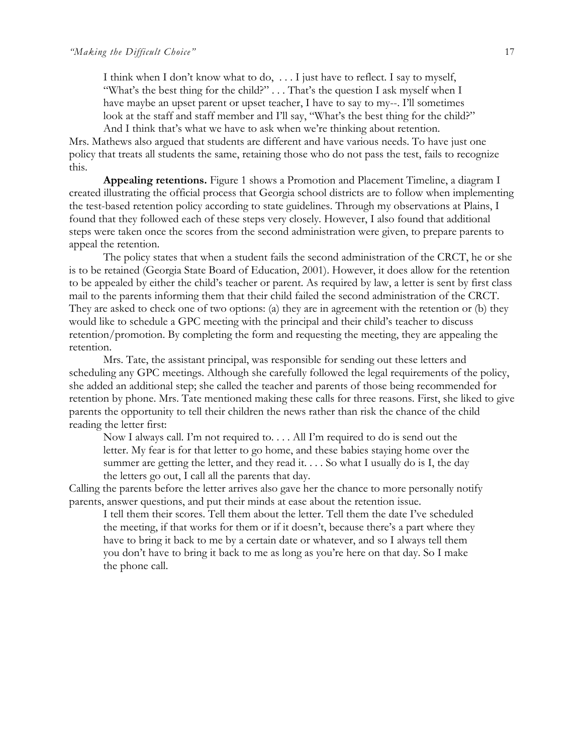I think when I don't know what to do, . . . I just have to reflect. I say to myself, "What's the best thing for the child?" . . . That's the question I ask myself when I have maybe an upset parent or upset teacher, I have to say to my--. I'll sometimes look at the staff and staff member and I'll say, "What's the best thing for the child?" And I think that's what we have to ask when we're thinking about retention.

Mrs. Mathews also argued that students are different and have various needs. To have just one policy that treats all students the same, retaining those who do not pass the test, fails to recognize this.

**Appealing retentions.** Figure 1 shows a Promotion and Placement Timeline, a diagram I created illustrating the official process that Georgia school districts are to follow when implementing the test-based retention policy according to state guidelines. Through my observations at Plains, I found that they followed each of these steps very closely. However, I also found that additional steps were taken once the scores from the second administration were given, to prepare parents to appeal the retention.

The policy states that when a student fails the second administration of the CRCT, he or she is to be retained (Georgia State Board of Education, 2001). However, it does allow for the retention to be appealed by either the child's teacher or parent. As required by law, a letter is sent by first class mail to the parents informing them that their child failed the second administration of the CRCT. They are asked to check one of two options: (a) they are in agreement with the retention or (b) they would like to schedule a GPC meeting with the principal and their child's teacher to discuss retention/promotion. By completing the form and requesting the meeting, they are appealing the retention.

Mrs. Tate, the assistant principal, was responsible for sending out these letters and scheduling any GPC meetings. Although she carefully followed the legal requirements of the policy, she added an additional step; she called the teacher and parents of those being recommended for retention by phone. Mrs. Tate mentioned making these calls for three reasons. First, she liked to give parents the opportunity to tell their children the news rather than risk the chance of the child reading the letter first:

Now I always call. I'm not required to. . . . All I'm required to do is send out the letter. My fear is for that letter to go home, and these babies staying home over the summer are getting the letter, and they read it. . . . So what I usually do is I, the day the letters go out, I call all the parents that day.

Calling the parents before the letter arrives also gave her the chance to more personally notify parents, answer questions, and put their minds at ease about the retention issue.

I tell them their scores. Tell them about the letter. Tell them the date I've scheduled the meeting, if that works for them or if it doesn't, because there's a part where they have to bring it back to me by a certain date or whatever, and so I always tell them you don't have to bring it back to me as long as you're here on that day. So I make the phone call.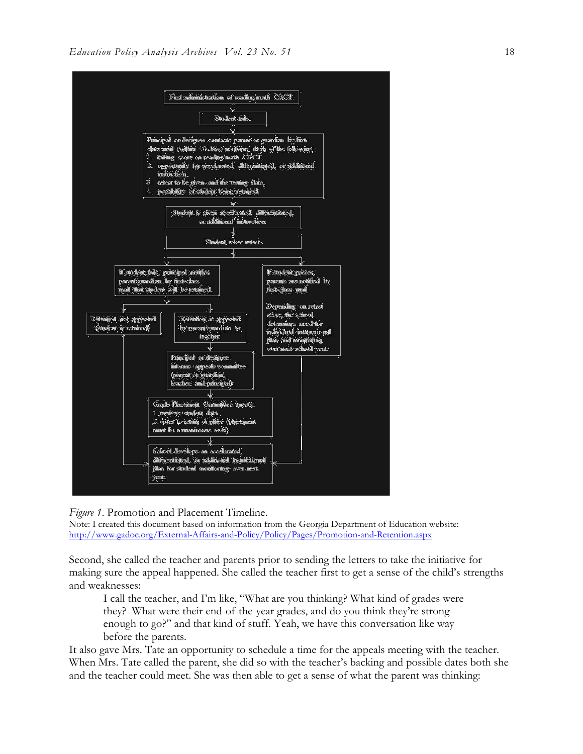

*Figure 1*. Promotion and Placement Timeline.

Note: I created this document based on information from the Georgia Department of Education website: http://www.gadoe.org/External-Affairs-and-Policy/Policy/Pages/Promotion-and-Retention.aspx

Second, she called the teacher and parents prior to sending the letters to take the initiative for making sure the appeal happened. She called the teacher first to get a sense of the child's strengths and weaknesses:

I call the teacher, and I'm like, "What are you thinking? What kind of grades were they? What were their end-of-the-year grades, and do you think they're strong enough to go?" and that kind of stuff. Yeah, we have this conversation like way before the parents.

It also gave Mrs. Tate an opportunity to schedule a time for the appeals meeting with the teacher. When Mrs. Tate called the parent, she did so with the teacher's backing and possible dates both she and the teacher could meet. She was then able to get a sense of what the parent was thinking: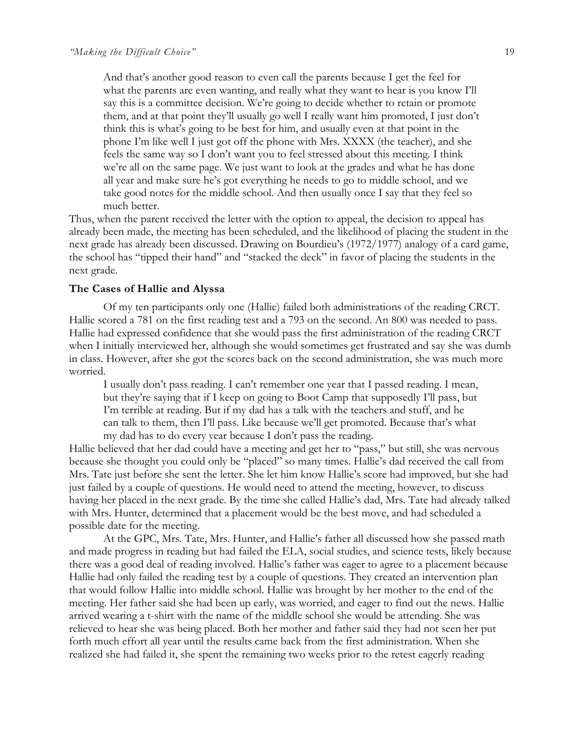And that's another good reason to even call the parents because I get the feel for what the parents are even wanting, and really what they want to hear is you know I'll say this is a committee decision. We're going to decide whether to retain or promote them, and at that point they'll usually go well I really want him promoted, I just don't think this is what's going to be best for him, and usually even at that point in the phone I'm like well I just got off the phone with Mrs. XXXX (the teacher), and she feels the same way so I don't want you to feel stressed about this meeting. I think we're all on the same page. We just want to look at the grades and what he has done all year and make sure he's got everything he needs to go to middle school, and we take good notes for the middle school. And then usually once I say that they feel so much better.

Thus, when the parent received the letter with the option to appeal, the decision to appeal has already been made, the meeting has been scheduled, and the likelihood of placing the student in the next grade has already been discussed. Drawing on Bourdieu's (1972/1977) analogy of a card game, the school has "tipped their hand" and "stacked the deck" in favor of placing the students in the next grade.

#### **The Cases of Hallie and Alyssa**

Of my ten participants only one (Hallie) failed both administrations of the reading CRCT. Hallie scored a 781 on the first reading test and a 793 on the second. An 800 was needed to pass. Hallie had expressed confidence that she would pass the first administration of the reading CRCT when I initially interviewed her, although she would sometimes get frustrated and say she was dumb in class. However, after she got the scores back on the second administration, she was much more worried.

I usually don't pass reading. I can't remember one year that I passed reading. I mean, but they're saying that if I keep on going to Boot Camp that supposedly I'll pass, but I'm terrible at reading. But if my dad has a talk with the teachers and stuff, and he can talk to them, then I'll pass. Like because we'll get promoted. Because that's what my dad has to do every year because I don't pass the reading.

Hallie believed that her dad could have a meeting and get her to "pass," but still, she was nervous because she thought you could only be "placed" so many times. Hallie's dad received the call from Mrs. Tate just before she sent the letter. She let him know Hallie's score had improved, but she had just failed by a couple of questions. He would need to attend the meeting, however, to discuss having her placed in the next grade. By the time she called Hallie's dad, Mrs. Tate had already talked with Mrs. Hunter, determined that a placement would be the best move, and had scheduled a possible date for the meeting.

At the GPC, Mrs. Tate, Mrs. Hunter, and Hallie's father all discussed how she passed math and made progress in reading but had failed the ELA, social studies, and science tests, likely because there was a good deal of reading involved. Hallie's father was eager to agree to a placement because Hallie had only failed the reading test by a couple of questions. They created an intervention plan that would follow Hallie into middle school. Hallie was brought by her mother to the end of the meeting. Her father said she had been up early, was worried, and eager to find out the news. Hallie arrived wearing a t-shirt with the name of the middle school she would be attending. She was relieved to hear she was being placed. Both her mother and father said they had not seen her put forth much effort all year until the results came back from the first administration. When she realized she had failed it, she spent the remaining two weeks prior to the retest eagerly reading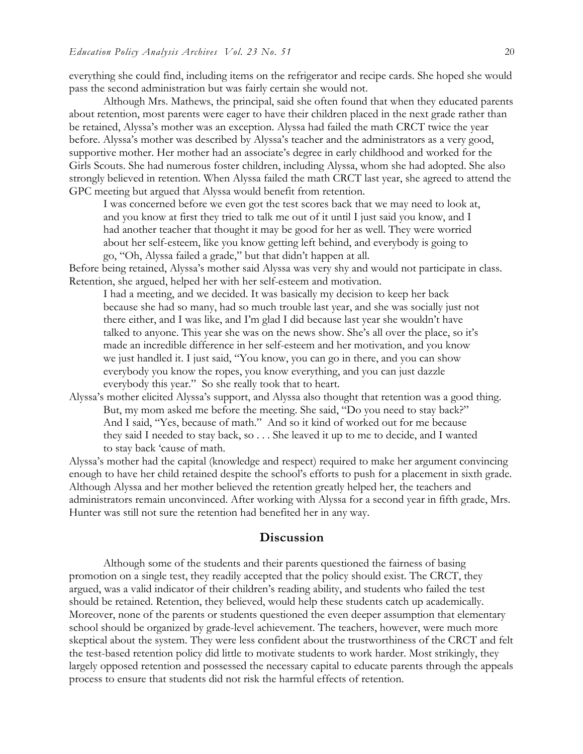everything she could find, including items on the refrigerator and recipe cards. She hoped she would pass the second administration but was fairly certain she would not.

Although Mrs. Mathews, the principal, said she often found that when they educated parents about retention, most parents were eager to have their children placed in the next grade rather than be retained, Alyssa's mother was an exception. Alyssa had failed the math CRCT twice the year before. Alyssa's mother was described by Alyssa's teacher and the administrators as a very good, supportive mother. Her mother had an associate's degree in early childhood and worked for the Girls Scouts. She had numerous foster children, including Alyssa, whom she had adopted. She also strongly believed in retention. When Alyssa failed the math CRCT last year, she agreed to attend the GPC meeting but argued that Alyssa would benefit from retention.

I was concerned before we even got the test scores back that we may need to look at, and you know at first they tried to talk me out of it until I just said you know, and I had another teacher that thought it may be good for her as well. They were worried about her self-esteem, like you know getting left behind, and everybody is going to go, "Oh, Alyssa failed a grade," but that didn't happen at all.

Before being retained, Alyssa's mother said Alyssa was very shy and would not participate in class. Retention, she argued, helped her with her self-esteem and motivation.

I had a meeting, and we decided. It was basically my decision to keep her back because she had so many, had so much trouble last year, and she was socially just not there either, and I was like, and I'm glad I did because last year she wouldn't have talked to anyone. This year she was on the news show. She's all over the place, so it's made an incredible difference in her self-esteem and her motivation, and you know we just handled it. I just said, "You know, you can go in there, and you can show everybody you know the ropes, you know everything, and you can just dazzle everybody this year." So she really took that to heart.

Alyssa's mother elicited Alyssa's support, and Alyssa also thought that retention was a good thing. But, my mom asked me before the meeting. She said, "Do you need to stay back?" And I said, "Yes, because of math." And so it kind of worked out for me because they said I needed to stay back, so . . . She leaved it up to me to decide, and I wanted to stay back 'cause of math.

Alyssa's mother had the capital (knowledge and respect) required to make her argument convincing enough to have her child retained despite the school's efforts to push for a placement in sixth grade. Although Alyssa and her mother believed the retention greatly helped her, the teachers and administrators remain unconvinced. After working with Alyssa for a second year in fifth grade, Mrs. Hunter was still not sure the retention had benefited her in any way.

#### **Discussion**

Although some of the students and their parents questioned the fairness of basing promotion on a single test, they readily accepted that the policy should exist. The CRCT, they argued, was a valid indicator of their children's reading ability, and students who failed the test should be retained. Retention, they believed, would help these students catch up academically. Moreover, none of the parents or students questioned the even deeper assumption that elementary school should be organized by grade-level achievement. The teachers, however, were much more skeptical about the system. They were less confident about the trustworthiness of the CRCT and felt the test-based retention policy did little to motivate students to work harder. Most strikingly, they largely opposed retention and possessed the necessary capital to educate parents through the appeals process to ensure that students did not risk the harmful effects of retention.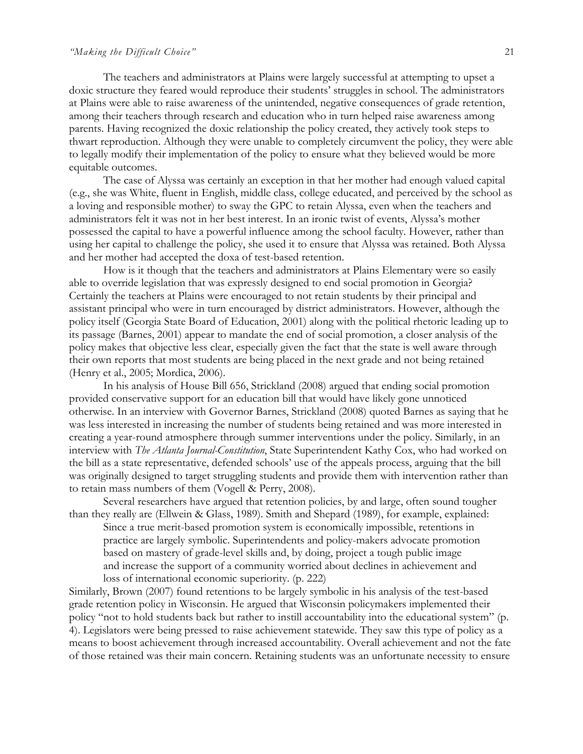#### *"Making the Difficult Choice"* 21

The teachers and administrators at Plains were largely successful at attempting to upset a doxic structure they feared would reproduce their students' struggles in school. The administrators at Plains were able to raise awareness of the unintended, negative consequences of grade retention, among their teachers through research and education who in turn helped raise awareness among parents. Having recognized the doxic relationship the policy created, they actively took steps to thwart reproduction. Although they were unable to completely circumvent the policy, they were able to legally modify their implementation of the policy to ensure what they believed would be more equitable outcomes.

The case of Alyssa was certainly an exception in that her mother had enough valued capital (e.g., she was White, fluent in English, middle class, college educated, and perceived by the school as a loving and responsible mother) to sway the GPC to retain Alyssa, even when the teachers and administrators felt it was not in her best interest. In an ironic twist of events, Alyssa's mother possessed the capital to have a powerful influence among the school faculty. However, rather than using her capital to challenge the policy, she used it to ensure that Alyssa was retained. Both Alyssa and her mother had accepted the doxa of test-based retention.

How is it though that the teachers and administrators at Plains Elementary were so easily able to override legislation that was expressly designed to end social promotion in Georgia? Certainly the teachers at Plains were encouraged to not retain students by their principal and assistant principal who were in turn encouraged by district administrators. However, although the policy itself (Georgia State Board of Education, 2001) along with the political rhetoric leading up to its passage (Barnes, 2001) appear to mandate the end of social promotion, a closer analysis of the policy makes that objective less clear, especially given the fact that the state is well aware through their own reports that most students are being placed in the next grade and not being retained (Henry et al., 2005; Mordica, 2006).

In his analysis of House Bill 656, Strickland (2008) argued that ending social promotion provided conservative support for an education bill that would have likely gone unnoticed otherwise. In an interview with Governor Barnes, Strickland (2008) quoted Barnes as saying that he was less interested in increasing the number of students being retained and was more interested in creating a year-round atmosphere through summer interventions under the policy. Similarly, in an interview with *The Atlanta Journal-Constitution*, State Superintendent Kathy Cox, who had worked on the bill as a state representative, defended schools' use of the appeals process, arguing that the bill was originally designed to target struggling students and provide them with intervention rather than to retain mass numbers of them (Vogell & Perry, 2008).

Several researchers have argued that retention policies, by and large, often sound tougher than they really are (Ellwein & Glass, 1989). Smith and Shepard (1989), for example, explained:

Since a true merit-based promotion system is economically impossible, retentions in practice are largely symbolic. Superintendents and policy-makers advocate promotion based on mastery of grade-level skills and, by doing, project a tough public image and increase the support of a community worried about declines in achievement and loss of international economic superiority. (p. 222)

Similarly, Brown (2007) found retentions to be largely symbolic in his analysis of the test-based grade retention policy in Wisconsin. He argued that Wisconsin policymakers implemented their policy "not to hold students back but rather to instill accountability into the educational system" (p. 4). Legislators were being pressed to raise achievement statewide. They saw this type of policy as a means to boost achievement through increased accountability. Overall achievement and not the fate of those retained was their main concern. Retaining students was an unfortunate necessity to ensure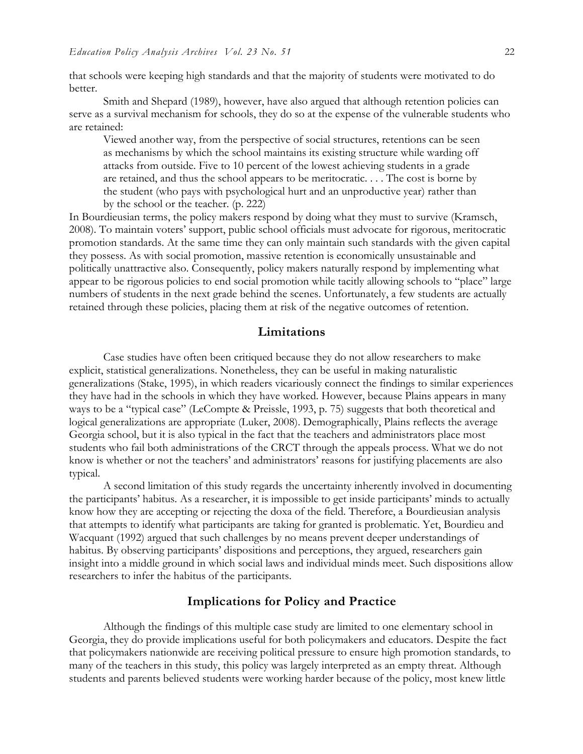that schools were keeping high standards and that the majority of students were motivated to do better.

Smith and Shepard (1989), however, have also argued that although retention policies can serve as a survival mechanism for schools, they do so at the expense of the vulnerable students who are retained:

Viewed another way, from the perspective of social structures, retentions can be seen as mechanisms by which the school maintains its existing structure while warding off attacks from outside. Five to 10 percent of the lowest achieving students in a grade are retained, and thus the school appears to be meritocratic. . . . The cost is borne by the student (who pays with psychological hurt and an unproductive year) rather than by the school or the teacher. (p. 222)

In Bourdieusian terms, the policy makers respond by doing what they must to survive (Kramsch, 2008). To maintain voters' support, public school officials must advocate for rigorous, meritocratic promotion standards. At the same time they can only maintain such standards with the given capital they possess. As with social promotion, massive retention is economically unsustainable and politically unattractive also. Consequently, policy makers naturally respond by implementing what appear to be rigorous policies to end social promotion while tacitly allowing schools to "place" large numbers of students in the next grade behind the scenes. Unfortunately, a few students are actually retained through these policies, placing them at risk of the negative outcomes of retention.

### **Limitations**

Case studies have often been critiqued because they do not allow researchers to make explicit, statistical generalizations. Nonetheless, they can be useful in making naturalistic generalizations (Stake, 1995), in which readers vicariously connect the findings to similar experiences they have had in the schools in which they have worked. However, because Plains appears in many ways to be a "typical case" (LeCompte & Preissle, 1993, p. 75) suggests that both theoretical and logical generalizations are appropriate (Luker, 2008). Demographically, Plains reflects the average Georgia school, but it is also typical in the fact that the teachers and administrators place most students who fail both administrations of the CRCT through the appeals process. What we do not know is whether or not the teachers' and administrators' reasons for justifying placements are also typical.

A second limitation of this study regards the uncertainty inherently involved in documenting the participants' habitus. As a researcher, it is impossible to get inside participants' minds to actually know how they are accepting or rejecting the doxa of the field. Therefore, a Bourdieusian analysis that attempts to identify what participants are taking for granted is problematic. Yet, Bourdieu and Wacquant (1992) argued that such challenges by no means prevent deeper understandings of habitus. By observing participants' dispositions and perceptions, they argued, researchers gain insight into a middle ground in which social laws and individual minds meet. Such dispositions allow researchers to infer the habitus of the participants.

#### **Implications for Policy and Practice**

Although the findings of this multiple case study are limited to one elementary school in Georgia, they do provide implications useful for both policymakers and educators. Despite the fact that policymakers nationwide are receiving political pressure to ensure high promotion standards, to many of the teachers in this study, this policy was largely interpreted as an empty threat. Although students and parents believed students were working harder because of the policy, most knew little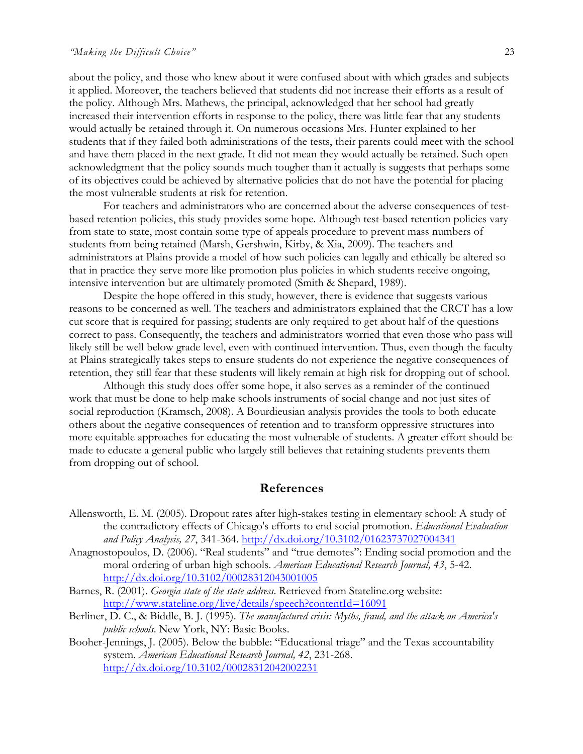about the policy, and those who knew about it were confused about with which grades and subjects it applied. Moreover, the teachers believed that students did not increase their efforts as a result of the policy. Although Mrs. Mathews, the principal, acknowledged that her school had greatly increased their intervention efforts in response to the policy, there was little fear that any students would actually be retained through it. On numerous occasions Mrs. Hunter explained to her students that if they failed both administrations of the tests, their parents could meet with the school and have them placed in the next grade. It did not mean they would actually be retained. Such open acknowledgment that the policy sounds much tougher than it actually is suggests that perhaps some of its objectives could be achieved by alternative policies that do not have the potential for placing the most vulnerable students at risk for retention.

For teachers and administrators who are concerned about the adverse consequences of testbased retention policies, this study provides some hope. Although test-based retention policies vary from state to state, most contain some type of appeals procedure to prevent mass numbers of students from being retained (Marsh, Gershwin, Kirby, & Xia, 2009). The teachers and administrators at Plains provide a model of how such policies can legally and ethically be altered so that in practice they serve more like promotion plus policies in which students receive ongoing, intensive intervention but are ultimately promoted (Smith & Shepard, 1989).

Despite the hope offered in this study, however, there is evidence that suggests various reasons to be concerned as well. The teachers and administrators explained that the CRCT has a low cut score that is required for passing; students are only required to get about half of the questions correct to pass. Consequently, the teachers and administrators worried that even those who pass will likely still be well below grade level, even with continued intervention. Thus, even though the faculty at Plains strategically takes steps to ensure students do not experience the negative consequences of retention, they still fear that these students will likely remain at high risk for dropping out of school.

Although this study does offer some hope, it also serves as a reminder of the continued work that must be done to help make schools instruments of social change and not just sites of social reproduction (Kramsch, 2008). A Bourdieusian analysis provides the tools to both educate others about the negative consequences of retention and to transform oppressive structures into more equitable approaches for educating the most vulnerable of students. A greater effort should be made to educate a general public who largely still believes that retaining students prevents them from dropping out of school.

#### **References**

- Allensworth, E. M. (2005). Dropout rates after high-stakes testing in elementary school: A study of the contradictory effects of Chicago's efforts to end social promotion. *Educational Evaluation and Policy Analysis, 27*, 341-364. http://dx.doi.org/10.3102/01623737027004341
- Anagnostopoulos, D. (2006). "Real students" and "true demotes": Ending social promotion and the moral ordering of urban high schools. *American Educational Research Journal, 43*, 5-42. http://dx.doi.org/10.3102/00028312043001005
- Barnes, R. (2001). *Georgia state of the state address*. Retrieved from Stateline.org website: http://www.stateline.org/live/details/speech?contentId=16091
- Berliner, D. C., & Biddle, B. J. (1995). *The manufactured crisis: Myths, fraud, and the attack on America's public schools*. New York, NY: Basic Books.
- Booher-Jennings, J. (2005). Below the bubble: "Educational triage" and the Texas accountability system. *American Educational Research Journal, 42*, 231-268. http://dx.doi.org/10.3102/00028312042002231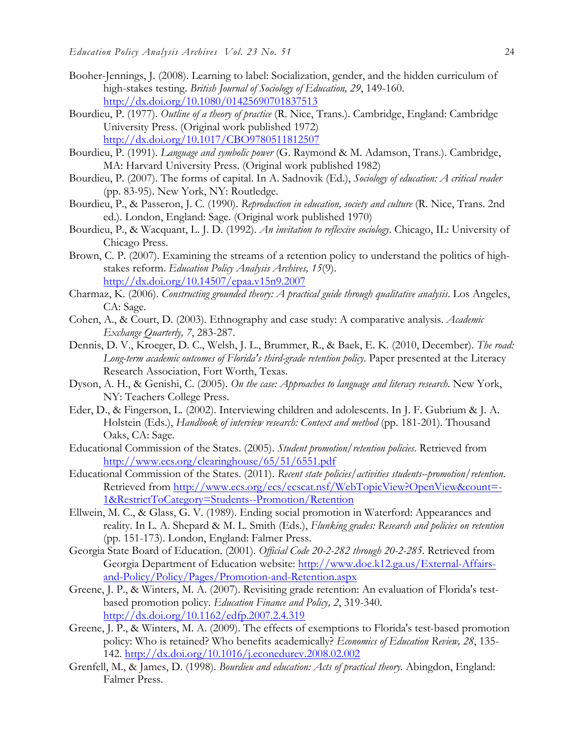- Booher-Jennings, J. (2008). Learning to label: Socialization, gender, and the hidden curriculum of high-stakes testing. *British Journal of Sociology of Education, 29*, 149-160. http://dx.doi.org/10.1080/01425690701837513
- Bourdieu, P. (1977). *Outline of a theory of practice* (R. Nice, Trans.). Cambridge, England: Cambridge University Press. (Original work published 1972) http://dx.doi.org/10.1017/CBO9780511812507
- Bourdieu, P. (1991). *Language and symbolic power* (G. Raymond & M. Adamson, Trans.). Cambridge, MA: Harvard University Press. (Original work published 1982)
- Bourdieu, P. (2007). The forms of capital. In A. Sadnovik (Ed.), *Sociology of education: A critical reader* (pp. 83-95). New York, NY: Routledge.
- Bourdieu, P., & Passeron, J. C. (1990). *Reproduction in education, society and culture* (R. Nice, Trans. 2nd ed.). London, England: Sage. (Original work published 1970)
- Bourdieu, P., & Wacquant, L. J. D. (1992). *An invitation to reflexive sociology*. Chicago, IL: University of Chicago Press.
- Brown, C. P. (2007). Examining the streams of a retention policy to understand the politics of highstakes reform. *Education Policy Analysis Archives, 15*(9). http://dx.doi.org/10.14507/epaa.v15n9.2007
- Charmaz, K. (2006). *Constructing grounded theory: A practical guide through qualitative analysis*. Los Angeles, CA: Sage.
- Cohen, A., & Court, D. (2003). Ethnography and case study: A comparative analysis. *Academic Exchange Quarterly, 7*, 283-287.
- Dennis, D. V., Kroeger, D. C., Welsh, J. L., Brummer, R., & Baek, E. K. (2010, December). *The road: Long-term academic outcomes of Florida's third-grade retention policy*. Paper presented at the Literacy Research Association, Fort Worth, Texas.
- Dyson, A. H., & Genishi, C. (2005). *On the case: Approaches to language and literacy research*. New York, NY: Teachers College Press.
- Eder, D., & Fingerson, L. (2002). Interviewing children and adolescents. In J. F. Gubrium & J. A. Holstein (Eds.), *Handbook of interview research: Context and method* (pp. 181-201). Thousand Oaks, CA: Sage.
- Educational Commission of the States. (2005). *Student promotion/retention policies*. Retrieved from http://www.ecs.org/clearinghouse/65/51/6551.pdf
- Educational Commission of the States. (2011). *Recent state policies/activities students--promotion/retention*. Retrieved from http://www.ecs.org/ecs/ecscat.nsf/WebTopicView?OpenView&count=- 1&RestrictToCategory=Students--Promotion/Retention
- Ellwein, M. C., & Glass, G. V. (1989). Ending social promotion in Waterford: Appearances and reality. In L. A. Shepard & M. L. Smith (Eds.), *Flunking grades: Research and policies on retention* (pp. 151-173). London, England: Falmer Press.
- Georgia State Board of Education. (2001). *Official Code 20-2-282 through 20-2-285*. Retrieved from Georgia Department of Education website: http://www.doe.k12.ga.us/External-Affairsand-Policy/Policy/Pages/Promotion-and-Retention.aspx
- Greene, J. P., & Winters, M. A. (2007). Revisiting grade retention: An evaluation of Florida's testbased promotion policy. *Education Finance and Policy, 2*, 319-340. http://dx.doi.org/10.1162/edfp.2007.2.4.319
- Greene, J. P., & Winters, M. A. (2009). The effects of exemptions to Florida's test-based promotion policy: Who is retained? Who benefits academically? *Economics of Education Review, 28*, 135- 142. http://dx.doi.org/10.1016/j.econedurev.2008.02.002
- Grenfell, M., & James, D. (1998). *Bourdieu and education: Acts of practical theory*. Abingdon, England: Falmer Press.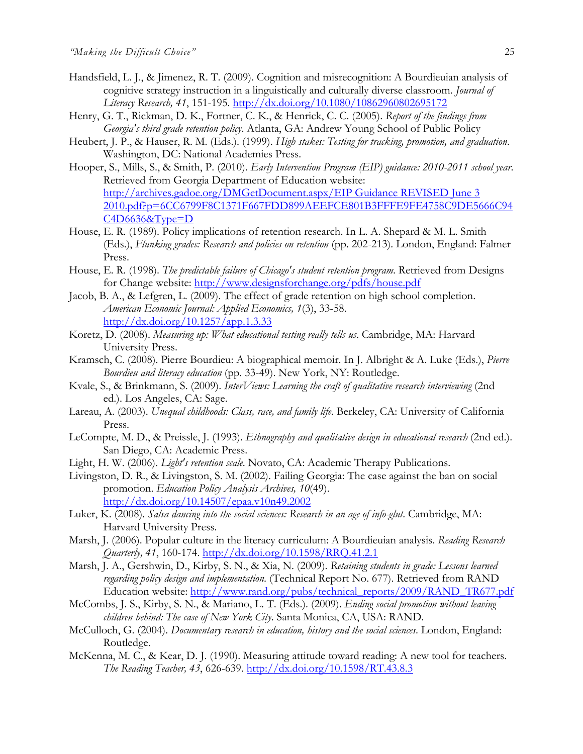- Handsfield, L. J., & Jimenez, R. T. (2009). Cognition and misrecognition: A Bourdieuian analysis of cognitive strategy instruction in a linguistically and culturally diverse classroom. *Journal of Literacy Research, 41*, 151-195. http://dx.doi.org/10.1080/10862960802695172
- Henry, G. T., Rickman, D. K., Fortner, C. K., & Henrick, C. C. (2005). *Report of the findings from Georgia's third grade retention policy*. Atlanta, GA: Andrew Young School of Public Policy
- Heubert, J. P., & Hauser, R. M. (Eds.). (1999). *High stakes: Testing for tracking, promotion, and graduation*. Washington, DC: National Academies Press.
- Hooper, S., Mills, S., & Smith, P. (2010). *Early Intervention Program (EIP) guidance: 2010-2011 school year*. Retrieved from Georgia Department of Education website: http://archives.gadoe.org/DMGetDocument.aspx/EIP Guidance REVISED June 3 2010.pdf?p=6CC6799F8C1371F667FDD899AEEFCE801B3FFFE9FE4758C9DE5666C94 C4D6636&Type=D
- House, E. R. (1989). Policy implications of retention research. In L. A. Shepard & M. L. Smith (Eds.), *Flunking grades: Research and policies on retention* (pp. 202-213). London, England: Falmer Press.
- House, E. R. (1998). *The predictable failure of Chicago's student retention program*. Retrieved from Designs for Change website: http://www.designsforchange.org/pdfs/house.pdf
- Jacob, B. A., & Lefgren, L. (2009). The effect of grade retention on high school completion. *American Economic Journal: Applied Economics, 1*(3), 33-58. http://dx.doi.org/10.1257/app.1.3.33
- Koretz, D. (2008). *Measuring up: What educational testing really tells us*. Cambridge, MA: Harvard University Press.
- Kramsch, C. (2008). Pierre Bourdieu: A biographical memoir. In J. Albright & A. Luke (Eds.), *Pierre Bourdieu and literacy education* (pp. 33-49). New York, NY: Routledge.
- Kvale, S., & Brinkmann, S. (2009). *InterViews: Learning the craft of qualitative research interviewing* (2nd ed.). Los Angeles, CA: Sage.
- Lareau, A. (2003). *Unequal childhoods: Class, race, and family life*. Berkeley, CA: University of California Press.
- LeCompte, M. D., & Preissle, J. (1993). *Ethnography and qualitative design in educational research* (2nd ed.). San Diego, CA: Academic Press.
- Light, H. W. (2006). *Light's retention scale*. Novato, CA: Academic Therapy Publications.
- Livingston, D. R., & Livingston, S. M. (2002). Failing Georgia: The case against the ban on social promotion. *Education Policy Analysis Archives, 10*(49). http://dx.doi.org/10.14507/epaa.v10n49.2002
- Luker, K. (2008). *Salsa dancing into the social sciences: Research in an age of info-glut*. Cambridge, MA: Harvard University Press.
- Marsh, J. (2006). Popular culture in the literacy curriculum: A Bourdieuian analysis. *Reading Research Quarterly, 41*, 160-174. http://dx.doi.org/10.1598/RRQ.41.2.1
- Marsh, J. A., Gershwin, D., Kirby, S. N., & Xia, N. (2009). *Retaining students in grade: Lessons learned regarding policy design and implementation*. (Technical Report No. 677). Retrieved from RAND Education website: http://www.rand.org/pubs/technical\_reports/2009/RAND\_TR677.pdf
- McCombs, J. S., Kirby, S. N., & Mariano, L. T. (Eds.). (2009). *Ending social promotion without leaving children behind: The case of New York City*. Santa Monica, CA, USA: RAND.
- McCulloch, G. (2004). *Documentary research in education, history and the social sciences*. London, England: Routledge.
- McKenna, M. C., & Kear, D. J. (1990). Measuring attitude toward reading: A new tool for teachers. *The Reading Teacher, 43*, 626-639. http://dx.doi.org/10.1598/RT.43.8.3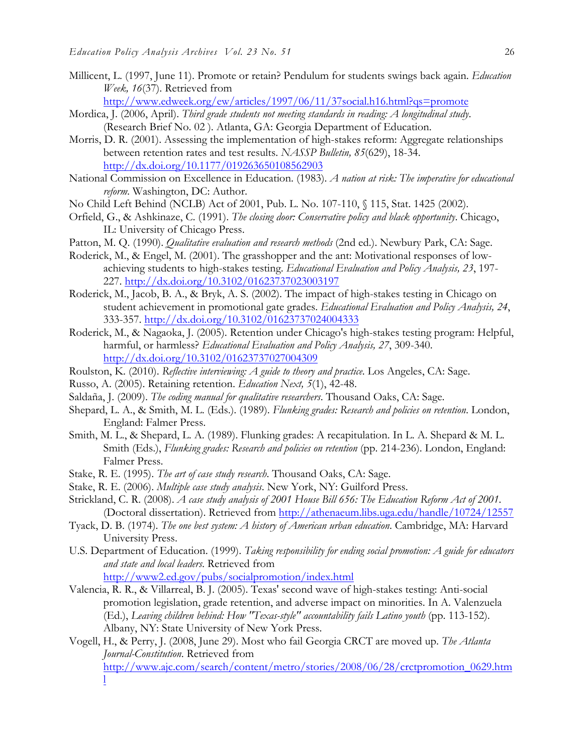Millicent, L. (1997, June 11). Promote or retain? Pendulum for students swings back again. *Education Week, 16*(37). Retrieved from

http://www.edweek.org/ew/articles/1997/06/11/37social.h16.html?qs=promote

- Mordica, J. (2006, April). *Third grade students not meeting standards in reading: A longitudinal study*. (Research Brief No. 02 ). Atlanta, GA: Georgia Department of Education.
- Morris, D. R. (2001). Assessing the implementation of high-stakes reform: Aggregate relationships between retention rates and test results. *NASSP Bulletin, 85*(629), 18-34. http://dx.doi.org/10.1177/019263650108562903
- National Commission on Excellence in Education. (1983). *A nation at risk: The imperative for educational reform*. Washington, DC: Author.
- No Child Left Behind (NCLB) Act of 2001, Pub. L. No. 107-110, § 115, Stat. 1425 (2002).
- Orfield, G., & Ashkinaze, C. (1991). *The closing door: Conservative policy and black opportunity*. Chicago, IL: University of Chicago Press.
- Patton, M. Q. (1990). *Qualitative evaluation and research methods* (2nd ed.). Newbury Park, CA: Sage.
- Roderick, M., & Engel, M. (2001). The grasshopper and the ant: Motivational responses of lowachieving students to high-stakes testing. *Educational Evaluation and Policy Analysis, 23*, 197- 227. http://dx.doi.org/10.3102/01623737023003197
- Roderick, M., Jacob, B. A., & Bryk, A. S. (2002). The impact of high-stakes testing in Chicago on student achievement in promotional gate grades. *Educational Evaluation and Policy Analysis, 24*, 333-357. http://dx.doi.org/10.3102/01623737024004333
- Roderick, M., & Nagaoka, J. (2005). Retention under Chicago's high-stakes testing program: Helpful, harmful, or harmless? *Educational Evaluation and Policy Analysis, 27*, 309-340. http://dx.doi.org/10.3102/01623737027004309
- Roulston, K. (2010). *Reflective interviewing: A guide to theory and practice*. Los Angeles, CA: Sage.
- Russo, A. (2005). Retaining retention. *Education Next, 5*(1), 42-48.
- Saldaña, J. (2009). *The coding manual for qualitative researchers*. Thousand Oaks, CA: Sage.
- Shepard, L. A., & Smith, M. L. (Eds.). (1989). *Flunking grades: Research and policies on retention*. London, England: Falmer Press.
- Smith, M. L., & Shepard, L. A. (1989). Flunking grades: A recapitulation. In L. A. Shepard & M. L. Smith (Eds.), *Flunking grades: Research and policies on retention* (pp. 214-236). London, England: Falmer Press.
- Stake, R. E. (1995). *The art of case study research*. Thousand Oaks, CA: Sage.
- Stake, R. E. (2006). *Multiple case study analysis*. New York, NY: Guilford Press.
- Strickland, C. R. (2008). *A case study analysis of 2001 House Bill 656: The Education Reform Act of 2001.*  (Doctoral dissertation). Retrieved from http://athenaeum.libs.uga.edu/handle/10724/12557
- Tyack, D. B. (1974). *The one best system: A history of American urban education*. Cambridge, MA: Harvard University Press.
- U.S. Department of Education. (1999). *Taking responsibility for ending social promotion: A guide for educators and state and local leaders*. Retrieved from

http://www2.ed.gov/pubs/socialpromotion/index.html

- Valencia, R. R., & Villarreal, B. J. (2005). Texas' second wave of high-stakes testing: Anti-social promotion legislation, grade retention, and adverse impact on minorities. In A. Valenzuela (Ed.), *Leaving children behind: How "Texas-style" accountability fails Latino youth* (pp. 113-152). Albany, NY: State University of New York Press.
- Vogell, H., & Perry, J. (2008, June 29). Most who fail Georgia CRCT are moved up. *The Atlanta Journal-Constitution*. Retrieved from http://www.ajc.com/search/content/metro/stories/2008/06/28/crctpromotion\_0629.htm l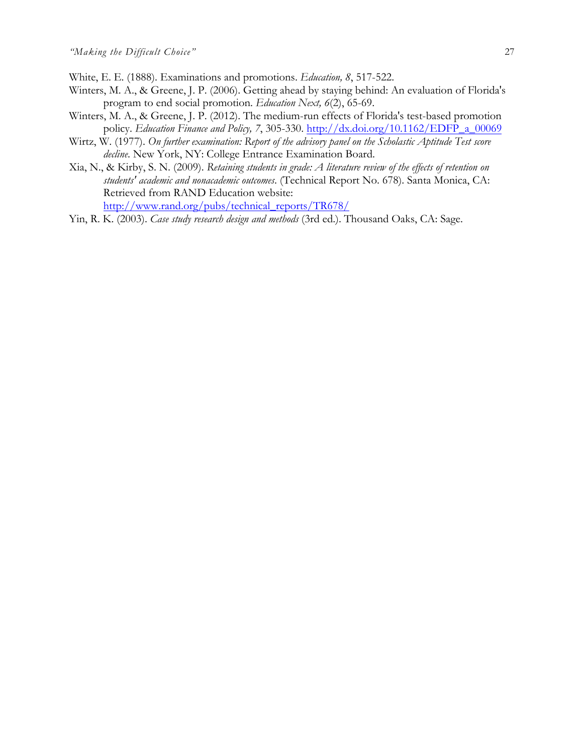- White, E. E. (1888). Examinations and promotions. *Education, 8*, 517-522.
- Winters, M. A., & Greene, J. P. (2006). Getting ahead by staying behind: An evaluation of Florida's program to end social promotion. *Education Next, 6*(2), 65-69.
- Winters, M. A., & Greene, J. P. (2012). The medium-run effects of Florida's test-based promotion policy. *Education Finance and Policy, 7*, 305-330. http://dx.doi.org/10.1162/EDFP\_a\_00069
- Wirtz, W. (1977). *On further examination: Report of the advisory panel on the Scholastic Aptitude Test score decline*. New York, NY: College Entrance Examination Board.
- Xia, N., & Kirby, S. N. (2009). *Retaining students in grade: A literature review of the effects of retention on students' academic and nonacademic outcomes*. (Technical Report No. 678). Santa Monica, CA: Retrieved from RAND Education website: http://www.rand.org/pubs/technical\_reports/TR678/
- Yin, R. K. (2003). *Case study research design and methods* (3rd ed.). Thousand Oaks, CA: Sage.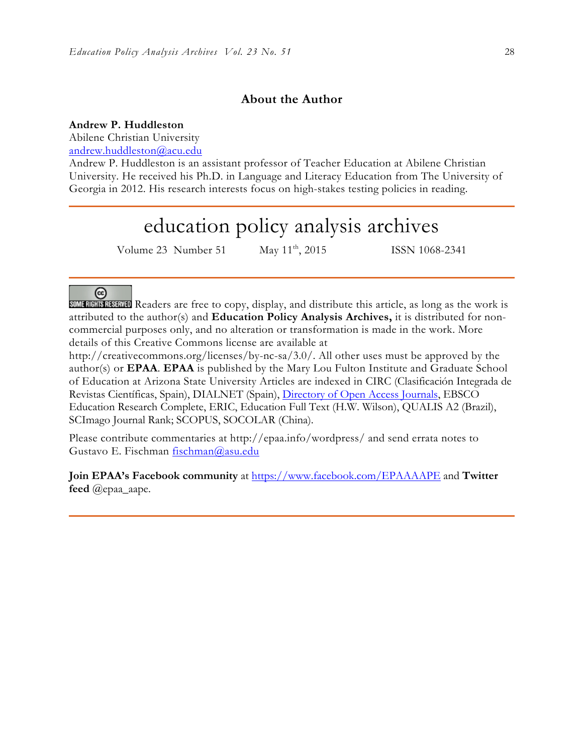## **About the Author**

#### **Andrew P. Huddleston**

Abilene Christian University

andrew.huddleston@acu.edu

Andrew P. Huddleston is an assistant professor of Teacher Education at Abilene Christian University. He received his Ph.D. in Language and Literacy Education from The University of Georgia in 2012. His research interests focus on high-stakes testing policies in reading.

## education policy analysis archives

Volume 23 Number 51 May 11<sup>th</sup>, 2015 ISSN 1068-2341

## @

SOME RIGHTS RESERVED Readers are free to copy, display, and distribute this article, as long as the work is attributed to the author(s) and **Education Policy Analysis Archives,** it is distributed for noncommercial purposes only, and no alteration or transformation is made in the work. More details of this Creative Commons license are available at

http://creativecommons.org/licenses/by-nc-sa/3.0/. All other uses must be approved by the author(s) or **EPAA**. **EPAA** is published by the Mary Lou Fulton Institute and Graduate School of Education at Arizona State University Articles are indexed in CIRC (Clasificación Integrada de Revistas Científicas, Spain), DIALNET (Spain), Directory of Open Access Journals, EBSCO Education Research Complete, ERIC, Education Full Text (H.W. Wilson), QUALIS A2 (Brazil), SCImago Journal Rank; SCOPUS, SOCOLAR (China).

Please contribute commentaries at http://epaa.info/wordpress/ and send errata notes to Gustavo E. Fischman fischman@asu.edu

**Join EPAA's Facebook community** at https://www.facebook.com/EPAAAAPE and **Twitter feed** @epaa\_aape.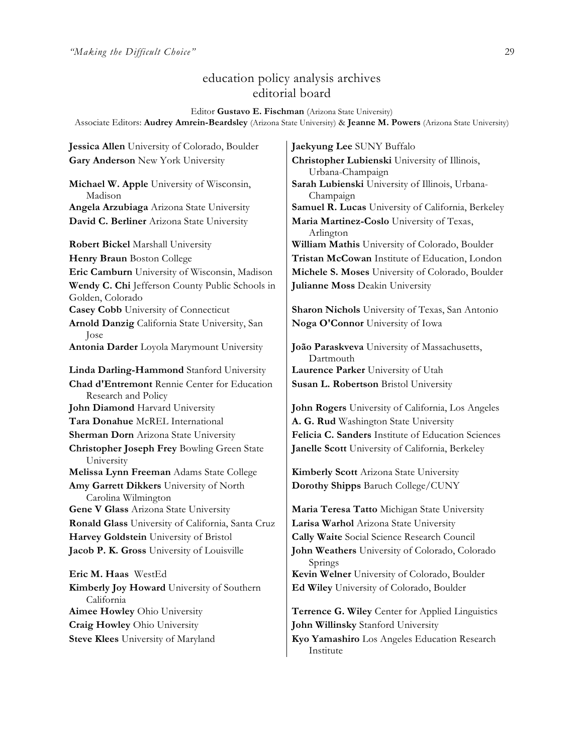## education policy analysis archives editorial board

Editor **Gustavo E. Fischman** (Arizona State University) Associate Editors: **Audrey Amrein-Beardsley** (Arizona State University) & **Jeanne M. Powers** (Arizona State University)

**Jessica Allen** University of Colorado, Boulder **Jaekyung Lee** SUNY Buffalo **Gary Anderson** New York University **Christopher Lubienski** University of Illinois,

**Michael W. Apple** University of Wisconsin, Madison **David C. Berliner** Arizona State University **Maria Martinez-Coslo** University of Texas,

**Wendy C. Chi** Jefferson County Public Schools in Golden, Colorado **Casey Cobb** University of Connecticut **Sharon Nichols** University of Texas, San Antonio **Arnold Danzig** California State University, San Jose **Antonia Darder** Loyola Marymount University **João Paraskveva** University of Massachusetts, **Linda Darling-Hammond** Stanford University **Laurence Parker** University of Utah **Chad d'Entremont** Rennie Center for Education Research and Policy **John Diamond** Harvard University **John Rogers** University of California, Los Angeles **Tara Donahue** McREL International **A. G. Rud** Washington State University **Christopher Joseph Frey** Bowling Green State University **Melissa Lynn Freeman** Adams State College **Kimberly Scott** Arizona State University **Amy Garrett Dikkers** University of North Carolina Wilmington **Gene V Glass** Arizona State University **Maria Teresa Tatto** Michigan State University **Ronald Glass** University of California, Santa Cruz **Larisa Warhol** Arizona State University **Harvey Goldstein** University of Bristol **Cally Waite** Social Science Research Council **Jacob P. K. Gross** University of Louisville **John Weathers** University of Colorado, Colorado **Eric M. Haas** WestEd **Kevin Welner** University of Colorado, Boulder

**Kimberly Joy Howard** University of Southern California **Craig Howley** Ohio University **John Willinsky** Stanford University

Urbana-Champaign **Sarah Lubienski** University of Illinois, Urbana-Champaign **Angela Arzubiaga** Arizona State University **Samuel R. Lucas** University of California, Berkeley Arlington **Robert Bickel Marshall University William Mathis University of Colorado, Boulder Henry Braun** Boston College **Tristan McCowan** Institute of Education, London **Eric Camburn** University of Wisconsin, Madison **Michele S. Moses** University of Colorado, Boulder **Julianne Moss** Deakin University

**Noga O'Connor** University of Iowa

Dartmouth **Susan L. Robertson** Bristol University

**Sherman Dorn** Arizona State University **Felicia C. Sanders** Institute of Education Sciences **Janelle Scott** University of California, Berkeley

**Dorothy Shipps** Baruch College/CUNY

Springs

**Ed Wiley** University of Colorado, Boulder

**Aimee Howley** Ohio University **Terrence G. Wiley** Center for Applied Linguistics

**Steve Klees** University of Maryland **Kyo Yamashiro** Los Angeles Education Research Institute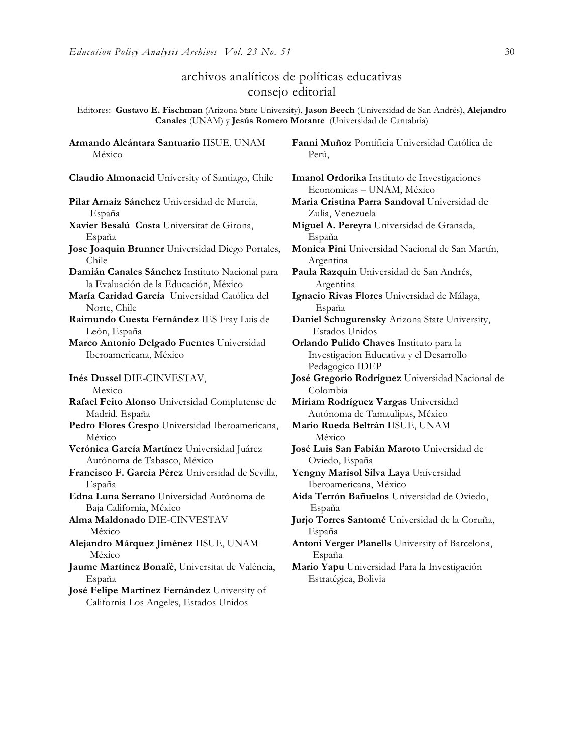## archivos analíticos de políticas educativas consejo editorial

Editores: **Gustavo E. Fischman** (Arizona State University), **Jason Beech** (Universidad de San Andrés), **Alejandro Canales** (UNAM) y **Jesús Romero Morante** (Universidad de Cantabria)

**Armando Alcántara Santuario** IISUE, UNAM México

**Claudio Almonacid** University of Santiago, Chile **Imanol Ordorika** Instituto de Investigaciones

**Pilar Arnaiz Sánchez** Universidad de Murcia, España

- **Xavier Besalú Costa** Universitat de Girona, España
- **Jose Joaquin Brunner** Universidad Diego Portales, Chile

**Damián Canales Sánchez** Instituto Nacional para la Evaluación de la Educación, México

**María Caridad García** Universidad Católica del Norte, Chile

**Raimundo Cuesta Fernández** IES Fray Luis de León, España

**Marco Antonio Delgado Fuentes** Universidad Iberoamericana, México

**Inés Dussel** DIE**-**CINVESTAV,

Mexico

**Rafael Feito Alonso** Universidad Complutense de Madrid. España

- **Pedro Flores Crespo** Universidad Iberoamericana, México
- **Verónica García Martínez** Universidad Juárez Autónoma de Tabasco, México
- **Francisco F. García Pérez** Universidad de Sevilla, España

**Edna Luna Serrano** Universidad Autónoma de Baja California, México

**Alma Maldonado** DIE-CINVESTAV México

**Alejandro Márquez Jiménez** IISUE, UNAM México

**Jaume Martínez Bonafé**, Universitat de València, España

**José Felipe Martínez Fernández** University of California Los Angeles, Estados Unidos

**Fanni Muñoz** Pontificia Universidad Católica de Perú,

Economicas – UNAM, México

- **Maria Cristina Parra Sandoval** Universidad de Zulia, Venezuela
- **Miguel A. Pereyra** Universidad de Granada, España
- **Monica Pini** Universidad Nacional de San Martín, Argentina

**Paula Razquin** Universidad de San Andrés, Argentina

**Ignacio Rivas Flores** Universidad de Málaga, España

**Daniel Schugurensky** Arizona State University, Estados Unidos

**Orlando Pulido Chaves** Instituto para la Investigacion Educativa y el Desarrollo Pedagogico IDEP

**José Gregorio Rodríguez** Universidad Nacional de Colombia

**Miriam Rodríguez Vargas** Universidad Autónoma de Tamaulipas, México

**Mario Rueda Beltrán** IISUE, UNAM México

**José Luis San Fabián Maroto** Universidad de Oviedo, España

**Yengny Marisol Silva Laya** Universidad Iberoamericana, México

**Aida Terrón Bañuelos** Universidad de Oviedo, España

**Jurjo Torres Santomé** Universidad de la Coruña, España

**Antoni Verger Planells** University of Barcelona, España

**Mario Yapu** Universidad Para la Investigación Estratégica, Bolivia